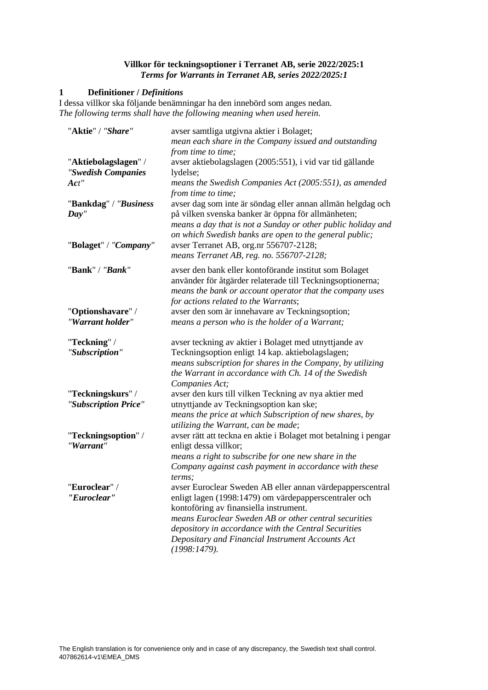## **Villkor för teckningsoptioner i Terranet AB, serie 2022/2025:1** *Terms for Warrants in Terranet AB, series 2022/2025:1*

# **1 Definitioner /** *Definitions*

I dessa villkor ska följande benämningar ha den innebörd som anges nedan. *The following terms shall have the following meaning when used herein.*

| "Aktie" / "Share"                                       | avser samtliga utgivna aktier i Bolaget;<br>mean each share in the Company issued and outstanding                                                                                                                                                                                                                                 |
|---------------------------------------------------------|-----------------------------------------------------------------------------------------------------------------------------------------------------------------------------------------------------------------------------------------------------------------------------------------------------------------------------------|
|                                                         | from time to time;                                                                                                                                                                                                                                                                                                                |
| "Aktiebolagslagen" /                                    | avser aktiebolagslagen (2005:551), i vid var tid gällande                                                                                                                                                                                                                                                                         |
| "Swedish Companies                                      | lydelse;                                                                                                                                                                                                                                                                                                                          |
| $\boldsymbol{Act}''$                                    |                                                                                                                                                                                                                                                                                                                                   |
|                                                         | means the Swedish Companies Act (2005:551), as amended<br>from time to time;                                                                                                                                                                                                                                                      |
| "Bankdag" / "Business<br>Day''<br>"Bolaget" / "Company" | avser dag som inte är söndag eller annan allmän helgdag och<br>på vilken svenska banker är öppna för allmänheten;<br>means a day that is not a Sunday or other public holiday and<br>on which Swedish banks are open to the general public;<br>avser Terranet AB, org.nr 556707-2128;<br>means Terranet AB, reg. no. 556707-2128; |
| "Bank" / "Bank"                                         | avser den bank eller kontoförande institut som Bolaget<br>använder för åtgärder relaterade till Teckningsoptionerna;<br>means the bank or account operator that the company uses<br>for actions related to the Warrants;                                                                                                          |
| "Optionshavare" /                                       | avser den som är innehavare av Teckningsoption;                                                                                                                                                                                                                                                                                   |
| "Warrant holder"                                        | means a person who is the holder of a Warrant;                                                                                                                                                                                                                                                                                    |
| "Teckning" /                                            | avser teckning av aktier i Bolaget med utnyttjande av                                                                                                                                                                                                                                                                             |
| "Subscription"                                          | Teckningsoption enligt 14 kap. aktiebolagslagen;<br>means subscription for shares in the Company, by utilizing<br>the Warrant in accordance with Ch. 14 of the Swedish<br>Companies Act;                                                                                                                                          |
| "Teckningskurs" /                                       | avser den kurs till vilken Teckning av nya aktier med                                                                                                                                                                                                                                                                             |
| "Subscription Price"                                    | utnyttjande av Teckningsoption kan ske;                                                                                                                                                                                                                                                                                           |
|                                                         | means the price at which Subscription of new shares, by                                                                                                                                                                                                                                                                           |
|                                                         | utilizing the Warrant, can be made;                                                                                                                                                                                                                                                                                               |
| "Teckningsoption" /                                     | avser rätt att teckna en aktie i Bolaget mot betalning i pengar                                                                                                                                                                                                                                                                   |
| "Warrant"                                               | enligt dessa villkor;                                                                                                                                                                                                                                                                                                             |
|                                                         | means a right to subscribe for one new share in the                                                                                                                                                                                                                                                                               |
|                                                         | Company against cash payment in accordance with these<br>terms:                                                                                                                                                                                                                                                                   |
| "Euroclear" /                                           | avser Euroclear Sweden AB eller annan värdepapperscentral                                                                                                                                                                                                                                                                         |
| "Euroclear"                                             | enligt lagen (1998:1479) om värdepapperscentraler och                                                                                                                                                                                                                                                                             |
|                                                         | kontoföring av finansiella instrument.                                                                                                                                                                                                                                                                                            |
|                                                         | means Euroclear Sweden AB or other central securities                                                                                                                                                                                                                                                                             |
|                                                         | depository in accordance with the Central Securities                                                                                                                                                                                                                                                                              |
|                                                         | Depositary and Financial Instrument Accounts Act<br>(1998:1479).                                                                                                                                                                                                                                                                  |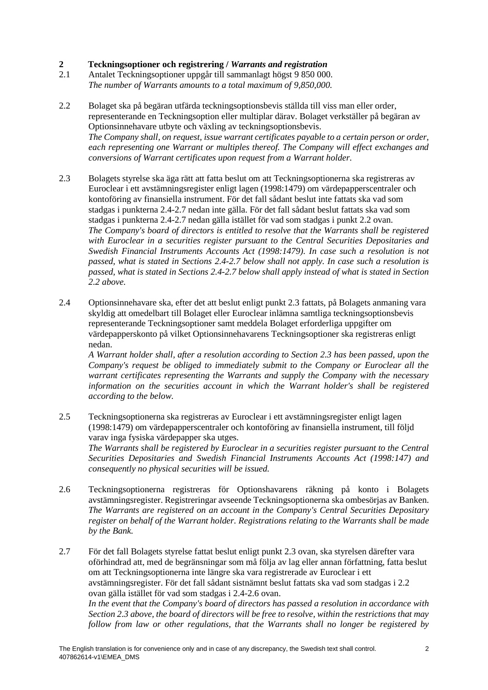# **2 Teckningsoptioner och registrering /** *Warrants and registration*

- 2.1 Antalet Teckningsoptioner uppgår till sammanlagt högst 9 850 000. *The number of Warrants amounts to a total maximum of 9,850,000.*
- <span id="page-1-2"></span>2.2 Bolaget ska på begäran utfärda teckningsoptionsbevis ställda till viss man eller order, representerande en Teckningsoption eller multiplar därav. Bolaget verkställer på begäran av Optionsinnehavare utbyte och växling av teckningsoptionsbevis. *The Company shall, on request, issue warrant certificates payable to a certain person or order, each representing one Warrant or multiples thereof. The Company will effect exchanges and conversions of Warrant certificates upon request from a Warrant holder.*
- <span id="page-1-3"></span>2.3 Bolagets styrelse ska äga rätt att fatta beslut om att Teckningsoptionerna ska registreras av Euroclear i ett avstämningsregister enligt lagen (1998:1479) om värdepapperscentraler och kontoföring av finansiella instrument. För det fall sådant beslut inte fattats ska vad som stadgas i punktern[a 2.4-](#page-1-0)[2.7](#page-1-1) nedan inte gälla. För det fall sådant beslut fattats ska vad som stadgas i punktern[a 2.4-](#page-1-0)[2.7](#page-1-1) nedan gälla istället för vad som stadgas i punkt [2.2](#page-1-2) ovan. *The Company's board of directors is entitled to resolve that the Warrants shall be registered with Euroclear in a securities register pursuant to the Central Securities Depositaries and Swedish Financial Instruments Accounts Act (1998:1479). In case such a resolution is not passed, what is stated in Sections [2.4](#page-1-0)[-2.7](#page-1-1) below shall not apply. In case such a resolution is passed, what is stated in Sections [2.4](#page-1-0)[-2.7](#page-1-1) below shall apply instead of what is stated in Section [2.2](#page-1-2) above.*
- <span id="page-1-0"></span>2.4 Optionsinnehavare ska, efter det att beslut enligt punkt [2.3](#page-1-3) fattats, på Bolagets anmaning vara skyldig att omedelbart till Bolaget eller Euroclear inlämna samtliga teckningsoptionsbevis representerande Teckningsoptioner samt meddela Bolaget erforderliga uppgifter om värdepapperskonto på vilket Optionsinnehavarens Teckningsoptioner ska registreras enligt nedan.

*A Warrant holder shall, after a resolution according to Section [2.3](#page-1-3) has been passed, upon the Company's request be obliged to immediately submit to the Company or Euroclear all the warrant certificates representing the Warrants and supply the Company with the necessary information on the securities account in which the Warrant holder's shall be registered according to the below.*

2.5 Teckningsoptionerna ska registreras av Euroclear i ett avstämningsregister enligt lagen (1998:1479) om värdepapperscentraler och kontoföring av finansiella instrument, till följd varav inga fysiska värdepapper ska utges.

*The Warrants shall be registered by Euroclear in a securities register pursuant to the Central Securities Depositaries and Swedish Financial Instruments Accounts Act (1998:147) and consequently no physical securities will be issued.*

<span id="page-1-4"></span>2.6 Teckningsoptionerna registreras för Optionshavarens räkning på konto i Bolagets avstämningsregister. Registreringar avseende Teckningsoptionerna ska ombesörjas av Banken. *The Warrants are registered on an account in the Company's Central Securities Depositary register on behalf of the Warrant holder. Registrations relating to the Warrants shall be made by the Bank.*

<span id="page-1-1"></span>2.7 För det fall Bolagets styrelse fattat beslut enligt punkt [2.3](#page-1-3) ovan, ska styrelsen därefter vara oförhindrad att, med de begränsningar som må följa av lag eller annan författning, fatta beslut om att Teckningsoptionerna inte längre ska vara registrerade av Euroclear i ett avstämningsregister. För det fall sådant sistnämnt beslut fattats ska vad som stadgas i [2.2](#page-1-2) ovan gälla istället för vad som stadgas i [2.4-](#page-1-0)[2.6](#page-1-4) ovan. *In the event that the Company's board of directors has passed a resolution in accordance with Section [2.3](#page-1-3) above, the board of directors will be free to resolve, within the restrictions that may follow from law or other regulations, that the Warrants shall no longer be registered by*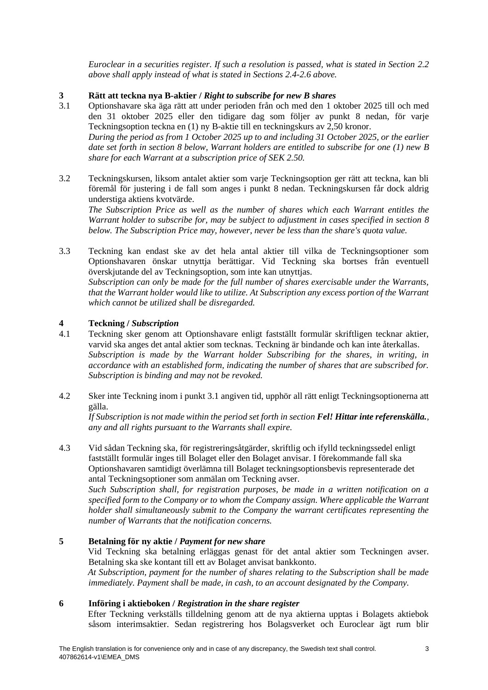*Euroclear in a securities register. If such a resolution is passed, what is stated in Section [2.2](#page-1-2) above shall apply instead of what is stated in Sections [2.4](#page-1-0)[-2.6](#page-1-4) above.*

# **3 Rätt att teckna nya B-aktier** / *Right to subscribe for new B shares*<br>3.1 **Optionshavare ska äga rätt att under perioden från och med den 1 optionshavare ska äga rätt att under perioden från och med den 1 o**

*share for each Warrant at a subscription price of SEK 2.50.*

- <span id="page-2-0"></span>3.1 Optionshavare ska äga rätt att under perioden från och med den 1 oktober 2025 till och med den 31 oktober 2025 eller den tidigare dag som följer av punkt [8](#page-3-0) nedan, för varje Teckningsoption teckna en (1) ny B-aktie till en teckningskurs av 2,50 kronor. *During the period as from 1 October 2025 up to and including 31 October 2025, or the earlier date set forth in section [8](#page-3-0) below, Warrant holders are entitled to subscribe for one (1) new B*
- 3.2 Teckningskursen, liksom antalet aktier som varje Teckningsoption ger rätt att teckna, kan bli föremål för justering i de fall som anges i punkt [8](#page-3-0) nedan. Teckningskursen får dock aldrig understiga aktiens kvotvärde.

*The Subscription Price as well as the number of shares which each Warrant entitles the Warrant holder to subscribe for, may be subject to adjustment in cases specified in section [8](#page-3-0) below. The Subscription Price may, however, never be less than the share's quota value.*

3.3 Teckning kan endast ske av det hela antal aktier till vilka de Teckningsoptioner som Optionshavaren önskar utnyttja berättigar. Vid Teckning ska bortses från eventuell överskjutande del av Teckningsoption, som inte kan utnyttjas. *Subscription can only be made for the full number of shares exercisable under the Warrants, that the Warrant holder would like to utilize. At Subscription any excess portion of the Warrant which cannot be utilized shall be disregarded.*

# <span id="page-2-1"></span>**4 Teckning /** *Subscription*

- 4.1 Teckning sker genom att Optionshavare enligt fastställt formulär skriftligen tecknar aktier, varvid ska anges det antal aktier som tecknas. Teckning är bindande och kan inte återkallas. *Subscription is made by the Warrant holder Subscribing for the shares, in writing, in accordance with an established form, indicating the number of shares that are subscribed for. Subscription is binding and may not be revoked.*
- 4.2 Sker inte Teckning inom i punkt [3.1](#page-2-0) angiven tid, upphör all rätt enligt Teckningsoptionerna att gälla.

*If Subscription is not made within the period set forth in section Fel! Hittar inte referenskälla., any and all rights pursuant to the Warrants shall expire.*

4.3 Vid sådan Teckning ska, för registreringsåtgärder, skriftlig och ifylld teckningssedel enligt fastställt formulär inges till Bolaget eller den Bolaget anvisar. I förekommande fall ska Optionshavaren samtidigt överlämna till Bolaget teckningsoptionsbevis representerade det antal Teckningsoptioner som anmälan om Teckning avser.

*Such Subscription shall, for registration purposes, be made in a written notification on a specified form to the Company or to whom the Company assign. Where applicable the Warrant holder shall simultaneously submit to the Company the warrant certificates representing the number of Warrants that the notification concerns.*

## **5 Betalning för ny aktie /** *Payment for new share*

Vid Teckning ska betalning erläggas genast för det antal aktier som Teckningen avser. Betalning ska ske kontant till ett av Bolaget anvisat bankkonto. *At Subscription, payment for the number of shares relating to the Subscription shall be made immediately. Payment shall be made, in cash, to an account designated by the Company.*

## **6 Införing i aktieboken /** *Registration in the share register*

Efter Teckning verkställs tilldelning genom att de nya aktierna upptas i Bolagets aktiebok såsom interimsaktier. Sedan registrering hos Bolagsverket och Euroclear ägt rum blir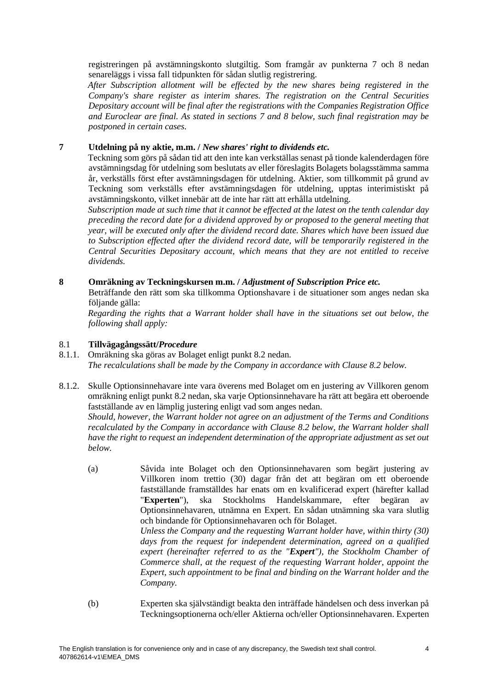registreringen på avstämningskonto slutgiltig. Som framgår av punkterna [7](#page-3-1) och [8](#page-3-0) nedan senareläggs i vissa fall tidpunkten för sådan slutlig registrering.

*After Subscription allotment will be effected by the new shares being registered in the Company's share register as interim shares. The registration on the Central Securities Depositary account will be final after the registrations with the Companies Registration Office and Euroclear are final. As stated in sections [7](#page-3-1) and [8](#page-3-0) below, such final registration may be postponed in certain cases.*

## <span id="page-3-1"></span>**7 Utdelning på ny aktie, m.m. /** *New shares' right to dividends etc.*

Teckning som görs på sådan tid att den inte kan verkställas senast på tionde kalenderdagen före avstämningsdag för utdelning som beslutats av eller föreslagits Bolagets bolagsstämma samma år, verkställs först efter avstämningsdagen för utdelning. Aktier, som tillkommit på grund av Teckning som verkställs efter avstämningsdagen för utdelning, upptas interimistiskt på avstämningskonto, vilket innebär att de inte har rätt att erhålla utdelning.

*Subscription made at such time that it cannot be effected at the latest on the tenth calendar day preceding the record date for a dividend approved by or proposed to the general meeting that year, will be executed only after the dividend record date. Shares which have been issued due to Subscription effected after the dividend record date, will be temporarily registered in the Central Securities Depositary account, which means that they are not entitled to receive dividends.*

# <span id="page-3-0"></span>**8 Omräkning av Teckningskursen m.m. /** *Adjustment of Subscription Price etc.*

Beträffande den rätt som ska tillkomma Optionshavare i de situationer som anges nedan ska följande gälla:

*Regarding the rights that a Warrant holder shall have in the situations set out below, the following shall apply:*

# 8.1 **Tillvägagångssätt/***Procedure*

- 8.1.1. Omräkning ska göras av Bolaget enligt punkt [8.2](#page-4-0) nedan. *The recalculations shall be made by the Company in accordance with Clause [8.2](#page-4-0) below.*
- 8.1.2. Skulle Optionsinnehavare inte vara överens med Bolaget om en justering av Villkoren genom omräkning enligt punkt [8.2](#page-4-0) nedan, ska varje Optionsinnehavare ha rätt att begära ett oberoende fastställande av en lämplig justering enligt vad som anges nedan.

*Should, however, the Warrant holder not agree on an adjustment of the Terms and Conditions recalculated by the Company in accordance with Clause [8.2](#page-4-0) below, the Warrant holder shall have the right to request an independent determination of the appropriate adjustment as set out below.*

(a) Såvida inte Bolaget och den Optionsinnehavaren som begärt justering av Villkoren inom trettio (30) dagar från det att begäran om ett oberoende fastställande framställdes har enats om en kvalificerad expert (härefter kallad "**Experten**"), ska Stockholms Handelskammare, efter begäran av Optionsinnehavaren, utnämna en Expert. En sådan utnämning ska vara slutlig och bindande för Optionsinnehavaren och för Bolaget.

*Unless the Company and the requesting Warrant holder have, within thirty (30) days from the request for independent determination, agreed on a qualified expert (hereinafter referred to as the "Expert"), the Stockholm Chamber of Commerce shall, at the request of the requesting Warrant holder, appoint the Expert, such appointment to be final and binding on the Warrant holder and the Company.*

(b) Experten ska självständigt beakta den inträffade händelsen och dess inverkan på Teckningsoptionerna och/eller Aktierna och/eller Optionsinnehavaren. Experten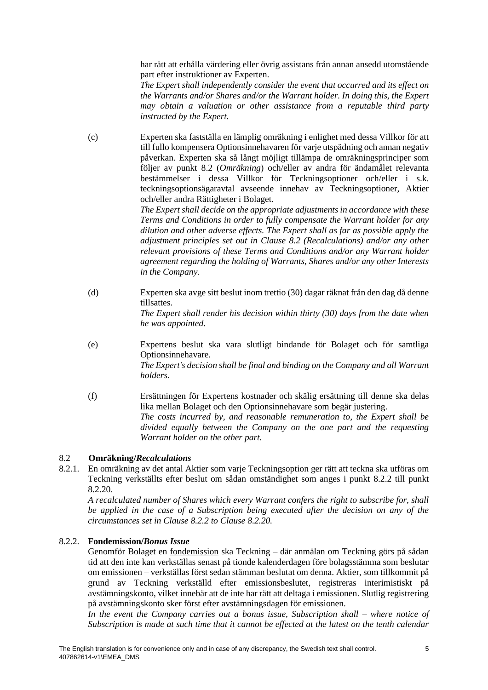har rätt att erhålla värdering eller övrig assistans från annan ansedd utomstående part efter instruktioner av Experten.

*The Expert shall independently consider the event that occurred and its effect on the Warrants and/or Shares and/or the Warrant holder. In doing this, the Expert may obtain a valuation or other assistance from a reputable third party instructed by the Expert.*

(c) Experten ska fastställa en lämplig omräkning i enlighet med dessa Villkor för att till fullo kompensera Optionsinnehavaren för varje utspädning och annan negativ påverkan. Experten ska så långt möjligt tillämpa de omräkningsprinciper som följer av punkt [8.2](#page-4-0) (*Omräkning*) och/eller av andra för ändamålet relevanta bestämmelser i dessa Villkor för Teckningsoptioner och/eller i s.k. teckningsoptionsägaravtal avseende innehav av Teckningsoptioner, Aktier och/eller andra Rättigheter i Bolaget.

> *The Expert shall decide on the appropriate adjustments in accordance with these Terms and Conditions in order to fully compensate the Warrant holder for any dilution and other adverse effects. The Expert shall as far as possible apply the adjustment principles set out in Clause [8.2](#page-4-0) (Recalculations) and/or any other relevant provisions of these Terms and Conditions and/or any Warrant holder agreement regarding the holding of Warrants, Shares and/or any other Interests in the Company.*

- (d) Experten ska avge sitt beslut inom trettio (30) dagar räknat från den dag då denne tillsattes. *The Expert shall render his decision within thirty (30) days from the date when he was appointed.*
- (e) Expertens beslut ska vara slutligt bindande för Bolaget och för samtliga Optionsinnehavare. *The Expert's decision shall be final and binding on the Company and all Warrant holders.*
- (f) Ersättningen för Expertens kostnader och skälig ersättning till denne ska delas lika mellan Bolaget och den Optionsinnehavare som begär justering. *The costs incurred by, and reasonable remuneration to, the Expert shall be divided equally between the Company on the one part and the requesting Warrant holder on the other part.*

# <span id="page-4-0"></span>8.2 **Omräkning/***Recalculations*

8.2.1. En omräkning av det antal Aktier som varje Teckningsoption ger rätt att teckna ska utföras om Teckning verkställts efter beslut om sådan omständighet som anges i punkt [8.2.2](#page-4-1) till punkt [8.2.20.](#page-19-0)

*A recalculated number of Shares which every Warrant confers the right to subscribe for, shall be applied in the case of a Subscription being executed after the decision on any of the circumstances set in Clause [8.2.2](#page-4-1) to Clause [8.2.20.](#page-19-0)* 

## <span id="page-4-1"></span>8.2.2. **Fondemission/***Bonus Issue*

Genomför Bolaget en fondemission ska Teckning – där anmälan om Teckning görs på sådan tid att den inte kan verkställas senast på tionde kalenderdagen före bolagsstämma som beslutar om emissionen – verkställas först sedan stämman beslutat om denna. Aktier, som tillkommit på grund av Teckning verkställd efter emissionsbeslutet, registreras interimistiskt på avstämningskonto, vilket innebär att de inte har rätt att deltaga i emissionen. Slutlig registrering på avstämningskonto sker först efter avstämningsdagen för emissionen.

*In the event the Company carries out a bonus issue, Subscription shall – where notice of Subscription is made at such time that it cannot be effected at the latest on the tenth calendar*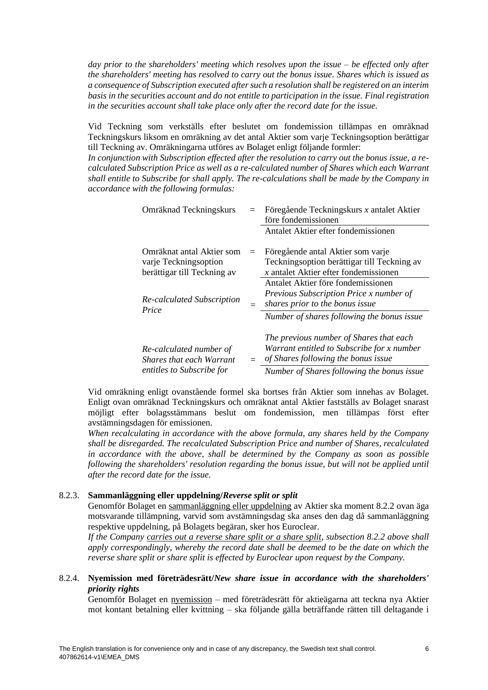*day prior to the shareholders' meeting which resolves upon the issue – be effected only after the shareholders' meeting has resolved to carry out the bonus issue. Shares which is issued as a consequence of Subscription executed after such a resolution shall be registered on an interim basis in the securities account and do not entitle to participation in the issue. Final registration in the securities account shall take place only after the record date for the issue.*

Vid Teckning som verkställs efter beslutet om fondemission tillämpas en omräknad Teckningskurs liksom en omräkning av det antal Aktier som varje Teckningsoption berättigar till Teckning av. Omräkningarna utföres av Bolaget enligt följande formler:

*In conjunction with Subscription effected after the resolution to carry out the bonus issue, a recalculated Subscription Price as well as a re-calculated number of Shares which each Warrant shall entitle to Subscribe for shall apply. The re-calculations shall be made by the Company in accordance with the following formulas:*

| Omräknad Teckningskurs                                                            | $=$ | Föregående Teckningskurs x antalet Aktier<br>före fondemissionen                                                                                                           |
|-----------------------------------------------------------------------------------|-----|----------------------------------------------------------------------------------------------------------------------------------------------------------------------------|
|                                                                                   |     | Antalet Aktier efter fondemissionen                                                                                                                                        |
| Omräknat antal Aktier som<br>varje Teckningsoption<br>berättigar till Teckning av | $=$ | Föregående antal Aktier som varje<br>Teckningsoption berättigar till Teckning av<br>$x$ antalet Aktier efter fondemissionen                                                |
| Re-calculated Subscription<br>Price                                               | $=$ | Antalet Aktier före fondemissionen<br>Previous Subscription Price x number of<br>shares prior to the bonus issue<br>Number of shares following the bonus issue             |
| Re-calculated number of<br>Shares that each Warrant<br>entitles to Subscribe for  | $=$ | The previous number of Shares that each<br>Warrant entitled to Subscribe for x number<br>of Shares following the bonus issue<br>Number of Shares following the bonus issue |

Vid omräkning enligt ovanstående formel ska bortses från Aktier som innehas av Bolaget. Enligt ovan omräknad Teckningskurs och omräknat antal Aktier fastställs av Bolaget snarast möjligt efter bolagsstämmans beslut om fondemission, men tillämpas först efter avstämningsdagen för emissionen.

*When recalculating in accordance with the above formula, any shares held by the Company shall be disregarded. The recalculated Subscription Price and number of Shares, recalculated in accordance with the above, shall be determined by the Company as soon as possible following the shareholders' resolution regarding the bonus issue, but will not be applied until after the record date for the issue.*

#### 8.2.3. **Sammanläggning eller uppdelning/***Reverse split or split*

Genomför Bolaget en sammanläggning eller uppdelning av Aktier ska moment [8.2.2](#page-4-1) ovan äga motsvarande tillämpning, varvid som avstämningsdag ska anses den dag då sammanläggning respektive uppdelning, på Bolagets begäran, sker hos Euroclear.

*If the Company carries out a reverse share split or a share split, subsection [8.2.2](#page-4-1) above shall apply correspondingly, whereby the record date shall be deemed to be the date on which the reverse share split or share split is effected by Euroclear upon request by the Company.*

# <span id="page-5-0"></span>8.2.4. **Nyemission med företrädesrätt/***New share issue in accordance with the shareholders' priority rights*

Genomför Bolaget en nyemission – med företrädesrätt för aktieägarna att teckna nya Aktier mot kontant betalning eller kvittning – ska följande gälla beträffande rätten till deltagande i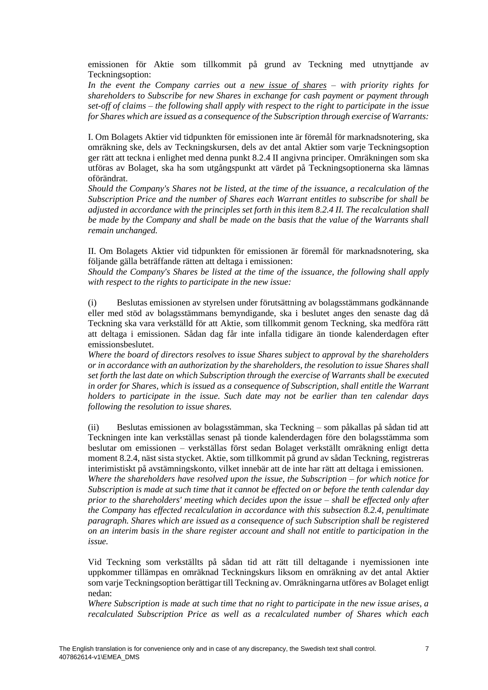emissionen för Aktie som tillkommit på grund av Teckning med utnyttjande av Teckningsoption:

*In the event the Company carries out a new issue of shares – with priority rights for shareholders to Subscribe for new Shares in exchange for cash payment or payment through set-off of claims – the following shall apply with respect to the right to participate in the issue for Shares which are issued as a consequence of the Subscription through exercise of Warrants:*

I. Om Bolagets Aktier vid tidpunkten för emissionen inte är föremål för marknadsnotering, ska omräkning ske, dels av Teckningskursen, dels av det antal Aktier som varje Teckningsoption ger rätt att teckna i enlighet med denna punkt [8.2.4](#page-5-0) II angivna principer. Omräkningen som ska utföras av Bolaget, ska ha som utgångspunkt att värdet på Teckningsoptionerna ska lämnas oförändrat.

*Should the Company's Shares not be listed, at the time of the issuance, a recalculation of the Subscription Price and the number of Shares each Warrant entitles to subscribe for shall be adjusted in accordance with the principles set forth in this item [8.2.4](#page-5-0) II. The recalculation shall be made by the Company and shall be made on the basis that the value of the Warrants shall remain unchanged.*

II. Om Bolagets Aktier vid tidpunkten för emissionen är föremål för marknadsnotering, ska följande gälla beträffande rätten att deltaga i emissionen:

*Should the Company's Shares be listed at the time of the issuance, the following shall apply with respect to the rights to participate in the new issue:*

(i) Beslutas emissionen av styrelsen under förutsättning av bolagsstämmans godkännande eller med stöd av bolagsstämmans bemyndigande, ska i beslutet anges den senaste dag då Teckning ska vara verkställd för att Aktie, som tillkommit genom Teckning, ska medföra rätt att deltaga i emissionen. Sådan dag får inte infalla tidigare än tionde kalenderdagen efter emissionsbeslutet.

*Where the board of directors resolves to issue Shares subject to approval by the shareholders or in accordance with an authorization by the shareholders, the resolution to issue Shares shall set forth the last date on which Subscription through the exercise of Warrants shall be executed in order for Shares, which is issued as a consequence of Subscription, shall entitle the Warrant holders to participate in the issue. Such date may not be earlier than ten calendar days following the resolution to issue shares.*

(ii) Beslutas emissionen av bolagsstämman, ska Teckning – som påkallas på sådan tid att Teckningen inte kan verkställas senast på tionde kalenderdagen före den bolagsstämma som beslutar om emissionen – verkställas först sedan Bolaget verkställt omräkning enligt detta moment [8.2.4,](#page-5-0) näst sista stycket. Aktie, som tillkommit på grund av sådan Teckning, registreras interimistiskt på avstämningskonto, vilket innebär att de inte har rätt att deltaga i emissionen.

*Where the shareholders have resolved upon the issue, the Subscription – for which notice for Subscription is made at such time that it cannot be effected on or before the tenth calendar day prior to the shareholders' meeting which decides upon the issue – shall be effected only after the Company has effected recalculation in accordance with this subsection [8.2.4,](#page-5-0) penultimate paragraph. Shares which are issued as a consequence of such Subscription shall be registered on an interim basis in the share register account and shall not entitle to participation in the issue.*

Vid Teckning som verkställts på sådan tid att rätt till deltagande i nyemissionen inte uppkommer tillämpas en omräknad Teckningskurs liksom en omräkning av det antal Aktier som varje Teckningsoption berättigar till Teckning av. Omräkningarna utföres av Bolaget enligt nedan:

*Where Subscription is made at such time that no right to participate in the new issue arises, a recalculated Subscription Price as well as a recalculated number of Shares which each*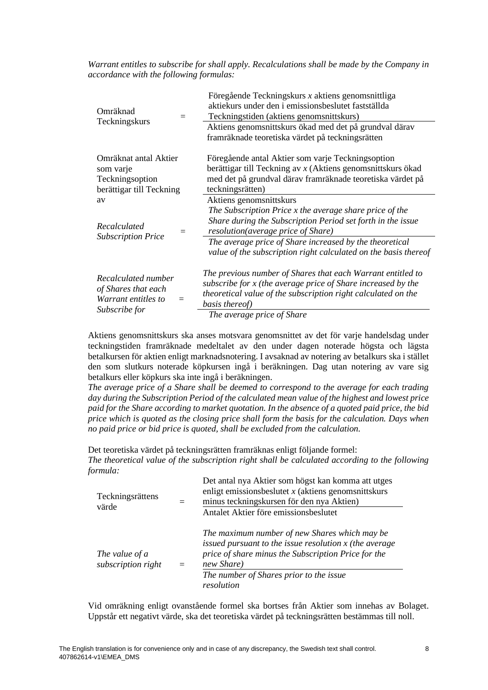*Warrant entitles to subscribe for shall apply. Recalculations shall be made by the Company in accordance with the following formulas:*

| Omräknad<br>$=$<br>Teckningskurs                                                   | Föregående Teckningskurs $x$ aktiens genomsnittliga<br>aktiekurs under den i emissionsbeslutet fastställda<br>Teckningstiden (aktiens genomsnittskurs)                                                                                       |  |  |  |
|------------------------------------------------------------------------------------|----------------------------------------------------------------------------------------------------------------------------------------------------------------------------------------------------------------------------------------------|--|--|--|
|                                                                                    | Aktiens genomsnittskurs ökad med det på grundval därav<br>framräknade teoretiska värdet på teckningsrätten                                                                                                                                   |  |  |  |
| Omräknat antal Aktier                                                              | Föregående antal Aktier som varje Teckningsoption                                                                                                                                                                                            |  |  |  |
| som varje                                                                          | berättigar till Teckning av $x$ (Aktiens genomsnittskurs ökad                                                                                                                                                                                |  |  |  |
| Teckningsoption                                                                    | med det på grundval därav framräknade teoretiska värdet på                                                                                                                                                                                   |  |  |  |
| berättigar till Teckning                                                           | teckningsrätten)                                                                                                                                                                                                                             |  |  |  |
| av                                                                                 | Aktiens genomsnittskurs                                                                                                                                                                                                                      |  |  |  |
| Recalculated<br>$=$<br><b>Subscription Price</b>                                   | The Subscription Price x the average share price of the<br>Share during the Subscription Period set forth in the issue<br>resolution(average price of Share)                                                                                 |  |  |  |
|                                                                                    | The average price of Share increased by the theoretical<br>value of the subscription right calculated on the basis thereof                                                                                                                   |  |  |  |
| Recalculated number<br>of Shares that each<br>Warrant entitles to<br>Subscribe for | The previous number of Shares that each Warrant entitled to<br>subscribe for x (the average price of Share increased by the<br>theoretical value of the subscription right calculated on the<br>basis thereof)<br>The average price of Share |  |  |  |

Aktiens genomsnittskurs ska anses motsvara genomsnittet av det för varje handelsdag under teckningstiden framräknade medeltalet av den under dagen noterade högsta och lägsta betalkursen för aktien enligt marknadsnotering. I avsaknad av notering av betalkurs ska i stället den som slutkurs noterade köpkursen ingå i beräkningen. Dag utan notering av vare sig betalkurs eller köpkurs ska inte ingå i beräkningen.

*The average price of a Share shall be deemed to correspond to the average for each trading day during the Subscription Period of the calculated mean value of the highest and lowest price paid for the Share according to market quotation. In the absence of a quoted paid price, the bid price which is quoted as the closing price shall form the basis for the calculation. Days when no paid price or bid price is quoted, shall be excluded from the calculation.*

Det teoretiska värdet på teckningsrätten framräknas enligt följande formel: *The theoretical value of the subscription right shall be calculated according to the following formula:*

| Teckningsrättens<br>värde            |     | Det antal nya Aktier som högst kan komma att utges<br>enligt emissionsbeslutet $x$ (aktiens genominitiskurs<br>minus teckningskursen för den nya Aktien)<br>Antalet Aktier före emissionsbeslutet                                       |
|--------------------------------------|-----|-----------------------------------------------------------------------------------------------------------------------------------------------------------------------------------------------------------------------------------------|
| The value of a<br>subscription right | $=$ | The maximum number of new Shares which may be<br>issued pursuant to the issue resolution $x$ (the average<br>price of share minus the Subscription Price for the<br>new Share)<br>The number of Shares prior to the issue<br>resolution |

Vid omräkning enligt ovanstående formel ska bortses från Aktier som innehas av Bolaget. Uppstår ett negativt värde, ska det teoretiska värdet på teckningsrätten bestämmas till noll.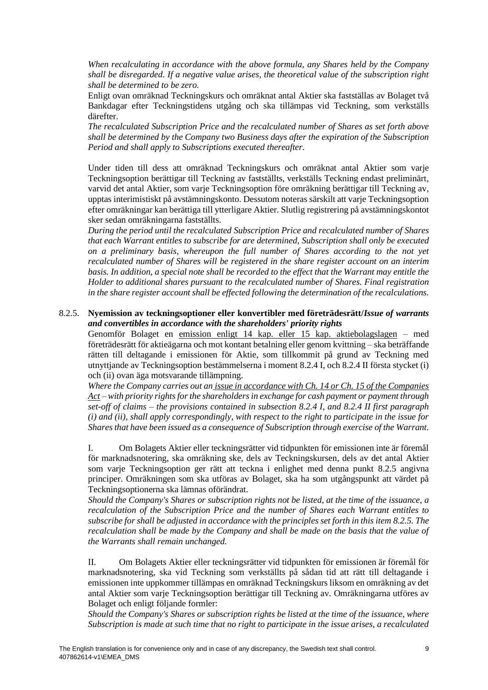*When recalculating in accordance with the above formula, any Shares held by the Company shall be disregarded. If a negative value arises, the theoretical value of the subscription right shall be determined to be zero.*

Enligt ovan omräknad Teckningskurs och omräknat antal Aktier ska fastställas av Bolaget två Bankdagar efter Teckningstidens utgång och ska tillämpas vid Teckning, som verkställs därefter.

*The recalculated Subscription Price and the recalculated number of Shares as set forth above shall be determined by the Company two Business days after the expiration of the Subscription Period and shall apply to Subscriptions executed thereafter.* 

Under tiden till dess att omräknad Teckningskurs och omräknat antal Aktier som varje Teckningsoption berättigar till Teckning av fastställts, verkställs Teckning endast preliminärt, varvid det antal Aktier, som varje Teckningsoption före omräkning berättigar till Teckning av, upptas interimistiskt på avstämningskonto. Dessutom noteras särskilt att varje Teckningsoption efter omräkningar kan berättiga till ytterligare Aktier. Slutlig registrering på avstämningskontot sker sedan omräkningarna fastställts.

*During the period until the recalculated Subscription Price and recalculated number of Shares that each Warrant entitles to subscribe for are determined, Subscription shall only be executed on a preliminary basis, whereupon the full number of Shares according to the not yet recalculated number of Shares will be registered in the share register account on an interim basis. In addition, a special note shall be recorded to the effect that the Warrant may entitle the Holder to additional shares pursuant to the recalculated number of Shares. Final registration in the share register account shall be effected following the determination of the recalculations.*

#### <span id="page-8-0"></span>8.2.5. **Nyemission av teckningsoptioner eller konvertibler med företrädesrätt/***Issue of warrants and convertibles in accordance with the shareholders' priority rights*

Genomför Bolaget en emission enligt 14 kap. eller 15 kap. aktiebolagslagen – med företrädesrätt för aktieägarna och mot kontant betalning eller genom kvittning – ska beträffande rätten till deltagande i emissionen för Aktie, som tillkommit på grund av Teckning med utnyttjande av Teckningsoption bestämmelserna i moment [8.2.4](#page-5-0) I, oc[h 8.2.4](#page-5-0) II första stycket (i) och (ii) ovan äga motsvarande tillämpning.

*Where the Company carries out an issue in accordance with Ch. 14 or Ch. 15 of the Companies Act – with priority rights for the shareholders in exchange for cash payment or payment through set-off of claims – the provisions contained in subsection [8.2.4](#page-5-0) I, and [8.2.4](#page-5-0) II first paragraph (i) and (ii), shall apply correspondingly, with respect to the right to participate in the issue for Shares that have been issued as a consequence of Subscription through exercise of the Warrant.*

I. Om Bolagets Aktier eller teckningsrätter vid tidpunkten för emissionen inte är föremål för marknadsnotering, ska omräkning ske, dels av Teckningskursen, dels av det antal Aktier som varje Teckningsoption ger rätt att teckna i enlighet med denna punkt [8.2.5](#page-8-0) angivna principer. Omräkningen som ska utföras av Bolaget, ska ha som utgångspunkt att värdet på Teckningsoptionerna ska lämnas oförändrat.

*Should the Company's Shares or subscription rights not be listed, at the time of the issuance, a recalculation of the Subscription Price and the number of Shares each Warrant entitles to subscribe for shall be adjusted in accordance with the principles set forth in this item [8.2.5.](#page-8-0) The recalculation shall be made by the Company and shall be made on the basis that the value of the Warrants shall remain unchanged.*

II. Om Bolagets Aktier eller teckningsrätter vid tidpunkten för emissionen är föremål för marknadsnotering, ska vid Teckning som verkställts på sådan tid att rätt till deltagande i emissionen inte uppkommer tillämpas en omräknad Teckningskurs liksom en omräkning av det antal Aktier som varje Teckningsoption berättigar till Teckning av. Omräkningarna utföres av Bolaget och enligt följande formler:

*Should the Company's Shares or subscription rights be listed at the time of the issuance, where Subscription is made at such time that no right to participate in the issue arises, a recalculated*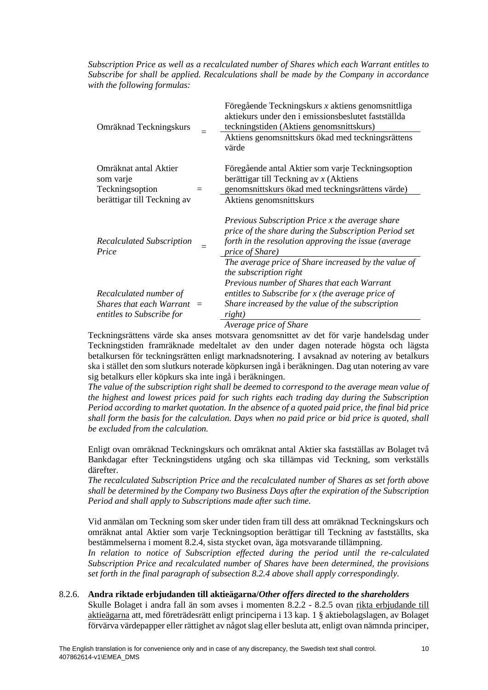## *Subscription Price as well as a recalculated number of Shares which each Warrant entitles to Subscribe for shall be applied. Recalculations shall be made by the Company in accordance with the following formulas:*

| Omräknad Teckningskurs                                    | Föregående Teckningskurs x aktiens genomsnittliga<br>aktiekurs under den i emissionsbeslutet fastställda<br>teckningstiden (Aktiens genomsnittskurs)                                |
|-----------------------------------------------------------|-------------------------------------------------------------------------------------------------------------------------------------------------------------------------------------|
|                                                           | Aktiens genomsnittskurs ökad med teckningsrättens<br>värde                                                                                                                          |
| Omräknat antal Aktier<br>som varje                        | Föregående antal Aktier som varje Teckningsoption<br>berättigar till Teckning av $x$ (Aktiens                                                                                       |
| Teckningsoption                                           | genomsnittskurs ökad med teckningsrättens värde)                                                                                                                                    |
| berättigar till Teckning av                               | Aktiens genomsnittskurs                                                                                                                                                             |
| <b>Recalculated Subscription</b><br>Price                 | Previous Subscription Price x the average share<br>price of the share during the Subscription Period set<br>forth in the resolution approving the issue (average<br>price of Share) |
|                                                           | The average price of Share increased by the value of<br>the subscription right                                                                                                      |
|                                                           | Previous number of Shares that each Warrant                                                                                                                                         |
| Recalculated number of                                    | entitles to Subscribe for $x$ (the average price of                                                                                                                                 |
| Shares that each Warrant $=$<br>entitles to Subscribe for | Share increased by the value of the subscription<br>right)                                                                                                                          |
|                                                           | Average price of Share                                                                                                                                                              |

Teckningsrättens värde ska anses motsvara genomsnittet av det för varje handelsdag under Teckningstiden framräknade medeltalet av den under dagen noterade högsta och lägsta betalkursen för teckningsrätten enligt marknadsnotering. I avsaknad av notering av betalkurs ska i stället den som slutkurs noterade köpkursen ingå i beräkningen. Dag utan notering av vare sig betalkurs eller köpkurs ska inte ingå i beräkningen.

*The value of the subscription right shall be deemed to correspond to the average mean value of the highest and lowest prices paid for such rights each trading day during the Subscription Period according to market quotation. In the absence of a quoted paid price, the final bid price shall form the basis for the calculation. Days when no paid price or bid price is quoted, shall be excluded from the calculation.*

Enligt ovan omräknad Teckningskurs och omräknat antal Aktier ska fastställas av Bolaget två Bankdagar efter Teckningstidens utgång och ska tillämpas vid Teckning, som verkställs därefter.

*The recalculated Subscription Price and the recalculated number of Shares as set forth above shall be determined by the Company two Business Days after the expiration of the Subscription Period and shall apply to Subscriptions made after such time.*

Vid anmälan om Teckning som sker under tiden fram till dess att omräknad Teckningskurs och omräknat antal Aktier som varje Teckningsoption berättigar till Teckning av fastställts, ska bestämmelserna i moment [8.2.4,](#page-5-0) sista stycket ovan, äga motsvarande tillämpning.

*In relation to notice of Subscription effected during the period until the re-calculated Subscription Price and recalculated number of Shares have been determined, the provisions set forth in the final paragraph of subsection [8.2.4](#page-5-0) above shall apply correspondingly.*

## <span id="page-9-0"></span>8.2.6. **Andra riktade erbjudanden till aktieägarna/***Other offers directed to the shareholders*

Skulle Bolaget i andra fall än som avses i momenten [8.2.2](#page-4-1) - [8.2.5](#page-8-0) ovan rikta erbjudande till aktieägarna att, med företrädesrätt enligt principerna i 13 kap. 1 § aktiebolagslagen, av Bolaget förvärva värdepapper eller rättighet av något slag eller besluta att, enligt ovan nämnda principer,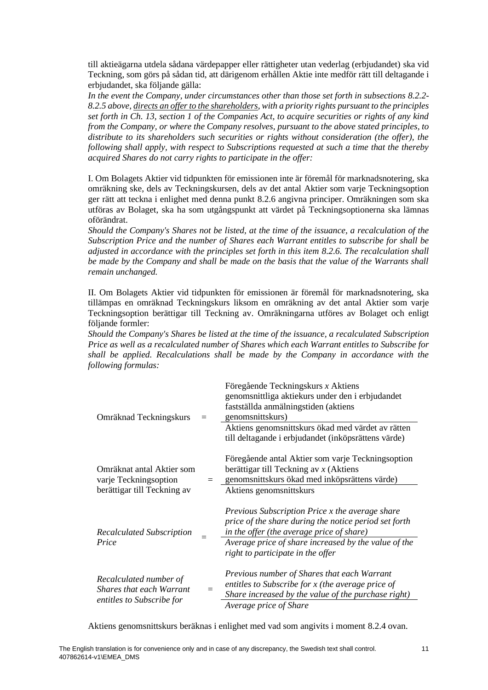till aktieägarna utdela sådana värdepapper eller rättigheter utan vederlag (erbjudandet) ska vid Teckning, som görs på sådan tid, att därigenom erhållen Aktie inte medför rätt till deltagande i erbjudandet, ska följande gälla:

*In the event the Company, under circumstances other than those set forth in subsections [8.2.2-](#page-4-1) [8.2.5](#page-8-0) above, directs an offer to the shareholders, with a priority rights pursuant to the principles set forth in Ch. 13, section 1 of the Companies Act, to acquire securities or rights of any kind from the Company, or where the Company resolves, pursuant to the above stated principles, to distribute to its shareholders such securities or rights without consideration (the offer), the following shall apply, with respect to Subscriptions requested at such a time that the thereby acquired Shares do not carry rights to participate in the offer:* 

I. Om Bolagets Aktier vid tidpunkten för emissionen inte är föremål för marknadsnotering, ska omräkning ske, dels av Teckningskursen, dels av det antal Aktier som varje Teckningsoption ger rätt att teckna i enlighet med denna punkt [8.2.6](#page-9-0) angivna principer. Omräkningen som ska utföras av Bolaget, ska ha som utgångspunkt att värdet på Teckningsoptionerna ska lämnas oförändrat.

*Should the Company's Shares not be listed, at the time of the issuance, a recalculation of the Subscription Price and the number of Shares each Warrant entitles to subscribe for shall be adjusted in accordance with the principles set forth in this item [8.2.6.](#page-9-0) The recalculation shall be made by the Company and shall be made on the basis that the value of the Warrants shall remain unchanged.*

II. Om Bolagets Aktier vid tidpunkten för emissionen är föremål för marknadsnotering, ska tillämpas en omräknad Teckningskurs liksom en omräkning av det antal Aktier som varje Teckningsoption berättigar till Teckning av. Omräkningarna utföres av Bolaget och enligt följande formler:

*Should the Company's Shares be listed at the time of the issuance, a recalculated Subscription Price as well as a recalculated number of Shares which each Warrant entitles to Subscribe for shall be applied. Recalculations shall be made by the Company in accordance with the following formulas:*

| Omräknad Teckningskurs                                                                 | Föregående Teckningskurs x Aktiens<br>genomsnittliga aktiekurs under den i erbjudandet<br>fastställda anmälningstiden (aktiens<br>genomsnittskurs)<br>Aktiens genomsnittskurs ökad med värdet av rätten<br>till deltagande i erbjudandet (inköpsrättens värde) |
|----------------------------------------------------------------------------------------|----------------------------------------------------------------------------------------------------------------------------------------------------------------------------------------------------------------------------------------------------------------|
| Omräknat antal Aktier som<br>varje Teckningsoption<br>berättigar till Teckning av      | Föregående antal Aktier som varje Teckningsoption<br>berättigar till Teckning av $x$ (Aktiens<br>= genomsnittskurs ökad med inköpsrättens värde)<br>Aktiens genomsnittskurs                                                                                    |
| <b>Recalculated Subscription</b><br>Price                                              | Previous Subscription Price x the average share<br>price of the share during the notice period set forth<br>in the offer (the average price of share)<br>Average price of share increased by the value of the<br>right to participate in the offer             |
| Recalculated number of<br><b>Shares that each Warrant</b><br>entitles to Subscribe for | Previous number of Shares that each Warrant<br>entitles to Subscribe for x (the average price of<br>Share increased by the value of the purchase right)<br>Average price of Share                                                                              |

Aktiens genomsnittskurs beräknas i enlighet med vad som angivits i moment [8.2.4](#page-5-0) ovan.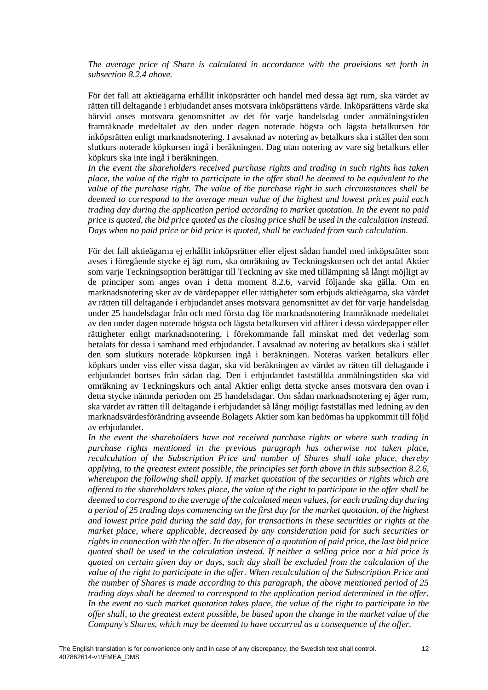*The average price of Share is calculated in accordance with the provisions set forth in subsection [8.2.4](#page-5-0) above.*

För det fall att aktieägarna erhållit inköpsrätter och handel med dessa ägt rum, ska värdet av rätten till deltagande i erbjudandet anses motsvara inköpsrättens värde. Inköpsrättens värde ska härvid anses motsvara genomsnittet av det för varje handelsdag under anmälningstiden framräknade medeltalet av den under dagen noterade högsta och lägsta betalkursen för inköpsrätten enligt marknadsnotering. I avsaknad av notering av betalkurs ska i stället den som slutkurs noterade köpkursen ingå i beräkningen. Dag utan notering av vare sig betalkurs eller köpkurs ska inte ingå i beräkningen.

*In the event the shareholders received purchase rights and trading in such rights has taken place, the value of the right to participate in the offer shall be deemed to be equivalent to the value of the purchase right. The value of the purchase right in such circumstances shall be deemed to correspond to the average mean value of the highest and lowest prices paid each trading day during the application period according to market quotation. In the event no paid price is quoted, the bid price quoted as the closing price shall be used in the calculation instead. Days when no paid price or bid price is quoted, shall be excluded from such calculation.*

För det fall aktieägarna ej erhållit inköpsrätter eller eljest sådan handel med inköpsrätter som avses i föregående stycke ej ägt rum, ska omräkning av Teckningskursen och det antal Aktier som varje Teckningsoption berättigar till Teckning av ske med tillämpning så långt möjligt av de principer som anges ovan i detta moment [8.2.6,](#page-9-0) varvid följande ska gälla. Om en marknadsnotering sker av de värdepapper eller rättigheter som erbjuds aktieägarna, ska värdet av rätten till deltagande i erbjudandet anses motsvara genomsnittet av det för varje handelsdag under 25 handelsdagar från och med första dag för marknadsnotering framräknade medeltalet av den under dagen noterade högsta och lägsta betalkursen vid affärer i dessa värdepapper eller rättigheter enligt marknadsnotering, i förekommande fall minskat med det vederlag som betalats för dessa i samband med erbjudandet. I avsaknad av notering av betalkurs ska i stället den som slutkurs noterade köpkursen ingå i beräkningen. Noteras varken betalkurs eller köpkurs under viss eller vissa dagar, ska vid beräkningen av värdet av rätten till deltagande i erbjudandet bortses från sådan dag. Den i erbjudandet fastställda anmälningstiden ska vid omräkning av Teckningskurs och antal Aktier enligt detta stycke anses motsvara den ovan i detta stycke nämnda perioden om 25 handelsdagar. Om sådan marknadsnotering ej äger rum, ska värdet av rätten till deltagande i erbjudandet så långt möjligt fastställas med ledning av den marknadsvärdesförändring avseende Bolagets Aktier som kan bedömas ha uppkommit till följd av erbjudandet.

In the event the shareholders have not received purchase rights or where such trading in *purchase rights mentioned in the previous paragraph has otherwise not taken place, recalculation of the Subscription Price and number of Shares shall take place, thereby applying, to the greatest extent possible, the principles set forth above in this subsection [8.2.6,](#page-9-0) whereupon the following shall apply. If market quotation of the securities or rights which are offered to the shareholders takes place, the value of the right to participate in the offer shall be deemed to correspond to the average of the calculated mean values, for each trading day during a period of 25 trading days commencing on the first day for the market quotation, of the highest and lowest price paid during the said day, for transactions in these securities or rights at the market place, where applicable, decreased by any consideration paid for such securities or rights in connection with the offer. In the absence of a quotation of paid price, the last bid price quoted shall be used in the calculation instead. If neither a selling price nor a bid price is quoted on certain given day or days, such day shall be excluded from the calculation of the value of the right to participate in the offer. When recalculation of the Subscription Price and the number of Shares is made according to this paragraph, the above mentioned period of 25 trading days shall be deemed to correspond to the application period determined in the offer. In the event no such market quotation takes place, the value of the right to participate in the offer shall, to the greatest extent possible, be based upon the change in the market value of the Company's Shares, which may be deemed to have occurred as a consequence of the offer.*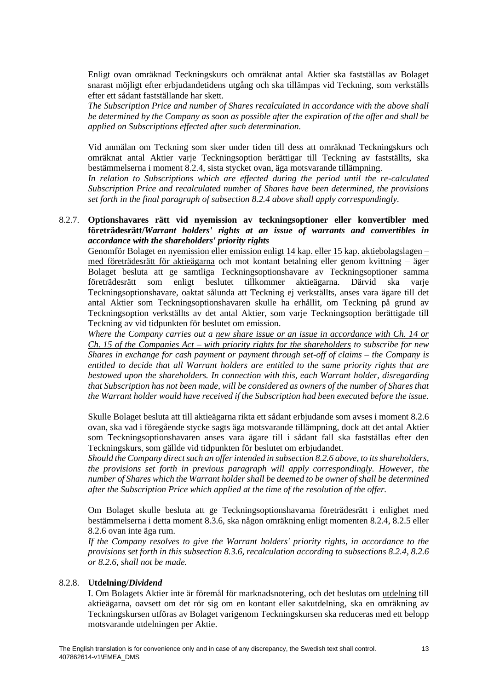Enligt ovan omräknad Teckningskurs och omräknat antal Aktier ska fastställas av Bolaget snarast möjligt efter erbjudandetidens utgång och ska tillämpas vid Teckning, som verkställs efter ett sådant fastställande har skett.

*The Subscription Price and number of Shares recalculated in accordance with the above shall be determined by the Company as soon as possible after the expiration of the offer and shall be applied on Subscriptions effected after such determination.*

Vid anmälan om Teckning som sker under tiden till dess att omräknad Teckningskurs och omräknat antal Aktier varje Teckningsoption berättigar till Teckning av fastställts, ska bestämmelserna i moment [8.2.4,](#page-5-0) sista stycket ovan, äga motsvarande tillämpning.

*In relation to Subscriptions which are effected during the period until the re-calculated Subscription Price and recalculated number of Shares have been determined, the provisions set forth in the final paragraph of subsection [8.2.4](#page-5-0) above shall apply correspondingly.*

# 8.2.7. **Optionshavares rätt vid nyemission av teckningsoptioner eller konvertibler med företrädesrätt/***Warrant holders' rights at an issue of warrants and convertibles in accordance with the shareholders' priority rights*

Genomför Bolaget en nyemission eller emission enligt 14 kap. eller 15 kap. aktiebolagslagen – med företrädesrätt för aktieägarna och mot kontant betalning eller genom kvittning – äger Bolaget besluta att ge samtliga Teckningsoptionshavare av Teckningsoptioner samma företrädesrätt som enligt beslutet tillkommer aktieägarna. Därvid ska varje Teckningsoptionshavare, oaktat sålunda att Teckning ej verkställts, anses vara ägare till det antal Aktier som Teckningsoptionshavaren skulle ha erhållit, om Teckning på grund av Teckningsoption verkställts av det antal Aktier, som varje Teckningsoption berättigade till Teckning av vid tidpunkten för beslutet om emission.

*Where the Company carries out a new share issue or an issue in accordance with Ch. 14 or Ch. 15 of the Companies Act – with priority rights for the shareholders to subscribe for new Shares in exchange for cash payment or payment through set-off of claims – the Company is entitled to decide that all Warrant holders are entitled to the same priority rights that are bestowed upon the shareholders. In connection with this, each Warrant holder, disregarding that Subscription has not been made, will be considered as owners of the number of Shares that the Warrant holder would have received if the Subscription had been executed before the issue.*

Skulle Bolaget besluta att till aktieägarna rikta ett sådant erbjudande som avses i moment [8.2.6](#page-9-0) ovan, ska vad i föregående stycke sagts äga motsvarande tillämpning, dock att det antal Aktier som Teckningsoptionshavaren anses vara ägare till i sådant fall ska fastställas efter den Teckningskurs, som gällde vid tidpunkten för beslutet om erbjudandet.

*Should the Company direct such an offer intended in subsection [8.2.6](#page-9-0) above, to its shareholders, the provisions set forth in previous paragraph will apply correspondingly. However, the number of Shares which the Warrant holder shall be deemed to be owner of shall be determined after the Subscription Price which applied at the time of the resolution of the offer.*

Om Bolaget skulle besluta att ge Teckningsoptionshavarna företrädesrätt i enlighet med bestämmelserna i detta moment 8.3.6, ska någon omräkning enligt momenten [8.2.4,](#page-5-0) [8.2.5](#page-8-0) eller [8.2.6](#page-9-0) ovan inte äga rum.

*If the Company resolves to give the Warrant holders' priority rights, in accordance to the provisions set forth in this subsection 8.3.6, recalculation according to subsections [8.2.4,](#page-5-0) [8.2.6](#page-9-0) or [8.2.6,](#page-9-0) shall not be made.*

## <span id="page-12-0"></span>8.2.8. **Utdelning/***Dividend*

I. Om Bolagets Aktier inte är föremål för marknadsnotering, och det beslutas om utdelning till aktieägarna, oavsett om det rör sig om en kontant eller sakutdelning, ska en omräkning av Teckningskursen utföras av Bolaget varigenom Teckningskursen ska reduceras med ett belopp motsvarande utdelningen per Aktie.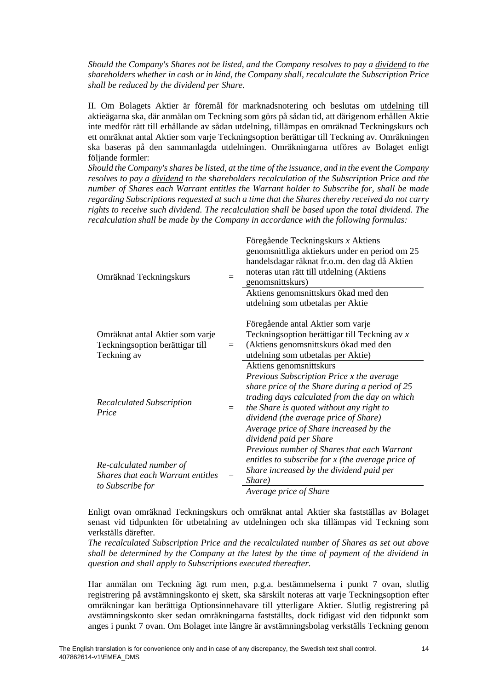*Should the Company's Shares not be listed, and the Company resolves to pay a dividend to the shareholders whether in cash or in kind, the Company shall, recalculate the Subscription Price shall be reduced by the dividend per Share.* 

II. Om Bolagets Aktier är föremål för marknadsnotering och beslutas om utdelning till aktieägarna ska, där anmälan om Teckning som görs på sådan tid, att därigenom erhållen Aktie inte medför rätt till erhållande av sådan utdelning, tillämpas en omräknad Teckningskurs och ett omräknat antal Aktier som varje Teckningsoption berättigar till Teckning av. Omräkningen ska baseras på den sammanlagda utdelningen. Omräkningarna utföres av Bolaget enligt följande formler:

*Should the Company's shares be listed, at the time of the issuance, and in the event the Company resolves to pay a dividend to the shareholders recalculation of the Subscription Price and the number of Shares each Warrant entitles the Warrant holder to Subscribe for, shall be made regarding Subscriptions requested at such a time that the Shares thereby received do not carry rights to receive such dividend. The recalculation shall be based upon the total dividend. The recalculation shall be made by the Company in accordance with the following formulas:*

| Omräknad Teckningskurs                                                                  |     | Föregående Teckningskurs x Aktiens<br>genomsnittliga aktiekurs under en period om 25<br>handelsdagar räknat fr.o.m. den dag då Aktien<br>noteras utan rätt till utdelning (Aktiens<br>genomsnittskurs)<br>Aktiens genomsnittskurs ökad med den<br>utdelning som utbetalas per Aktie |
|-----------------------------------------------------------------------------------------|-----|-------------------------------------------------------------------------------------------------------------------------------------------------------------------------------------------------------------------------------------------------------------------------------------|
| Omräknat antal Aktier som varje<br>Teckningsoption berättigar till<br>Teckning av       | $=$ | Föregående antal Aktier som varje<br>Teckningsoption berättigar till Teckning av x<br>(Aktiens genomsnittskurs ökad med den<br>utdelning som utbetalas per Aktie)<br>Aktiens genomsnittskurs                                                                                        |
| <b>Recalculated Subscription</b><br>Price                                               | $=$ | Previous Subscription Price x the average<br>share price of the Share during a period of 25<br>trading days calculated from the day on which<br>the Share is quoted without any right to<br>dividend (the average price of Share)                                                   |
| Re-calculated number of<br><b>Shares that each Warrant entitles</b><br>to Subscribe for |     | Average price of Share increased by the<br>dividend paid per Share<br>Previous number of Shares that each Warrant<br>entitles to subscribe for $x$ (the average price of<br>Share increased by the dividend paid per<br>Share)<br>Average price of Share                            |

Enligt ovan omräknad Teckningskurs och omräknat antal Aktier ska fastställas av Bolaget senast vid tidpunkten för utbetalning av utdelningen och ska tillämpas vid Teckning som verkställs därefter.

*The recalculated Subscription Price and the recalculated number of Shares as set out above shall be determined by the Company at the latest by the time of payment of the dividend in question and shall apply to Subscriptions executed thereafter.*

Har anmälan om Teckning ägt rum men, p.g.a. bestämmelserna i punkt [7](#page-3-1) ovan, slutlig registrering på avstämningskonto ej skett, ska särskilt noteras att varje Teckningsoption efter omräkningar kan berättiga Optionsinnehavare till ytterligare Aktier. Slutlig registrering på avstämningskonto sker sedan omräkningarna fastställts, dock tidigast vid den tidpunkt som anges i punkt [7](#page-3-1) ovan. Om Bolaget inte längre är avstämningsbolag verkställs Teckning genom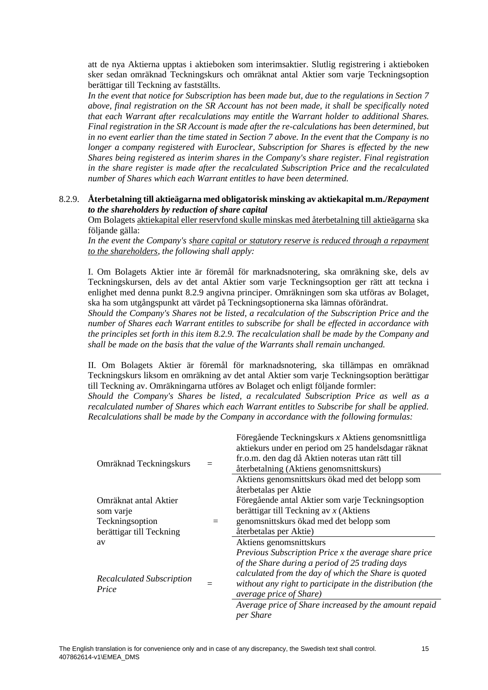att de nya Aktierna upptas i aktieboken som interimsaktier. Slutlig registrering i aktieboken sker sedan omräknad Teckningskurs och omräknat antal Aktier som varje Teckningsoption berättigar till Teckning av fastställts.

*In the event that notice for Subscription has been made but, due to the regulations in Section [7](#page-3-1) above, final registration on the SR Account has not been made, it shall be specifically noted that each Warrant after recalculations may entitle the Warrant holder to additional Shares. Final registration in the SR Account is made after the re-calculations has been determined, but in no event earlier than the time stated in Section [7](#page-3-1) above. In the event that the Company is no longer a company registered with Euroclear, Subscription for Shares is effected by the new Shares being registered as interim shares in the Company's share register. Final registration in the share register is made after the recalculated Subscription Price and the recalculated number of Shares which each Warrant entitles to have been determined.*

#### <span id="page-14-0"></span>8.2.9. **Återbetalning till aktieägarna med obligatorisk minsking av aktiekapital m.m./***Repayment to the shareholders by reduction of share capital*

Om Bolagets aktiekapital eller reservfond skulle minskas med återbetalning till aktieägarna ska följande gälla:

In the event the Company's share capital or statutory reserve is reduced through a repayment *to the shareholders, the following shall apply:*

I. Om Bolagets Aktier inte är föremål för marknadsnotering, ska omräkning ske, dels av Teckningskursen, dels av det antal Aktier som varje Teckningsoption ger rätt att teckna i enlighet med denna punkt [8.2.9](#page-14-0) angivna principer. Omräkningen som ska utföras av Bolaget, ska ha som utgångspunkt att värdet på Teckningsoptionerna ska lämnas oförändrat.

*Should the Company's Shares not be listed, a recalculation of the Subscription Price and the number of Shares each Warrant entitles to subscribe for shall be effected in accordance with the principles set forth in this item [8.2.9.](#page-14-0) The recalculation shall be made by the Company and shall be made on the basis that the value of the Warrants shall remain unchanged.*

II. Om Bolagets Aktier är föremål för marknadsnotering, ska tillämpas en omräknad Teckningskurs liksom en omräkning av det antal Aktier som varje Teckningsoption berättigar till Teckning av. Omräkningarna utföres av Bolaget och enligt följande formler:

*Should the Company's Shares be listed, a recalculated Subscription Price as well as a recalculated number of Shares which each Warrant entitles to Subscribe for shall be applied. Recalculations shall be made by the Company in accordance with the following formulas:*

|                                           |  | Föregående Teckningskurs x Aktiens genomsnittliga         |
|-------------------------------------------|--|-----------------------------------------------------------|
| Omräknad Teckningskurs                    |  | aktiekurs under en period om 25 handelsdagar räknat       |
|                                           |  | fr.o.m. den dag då Aktien noteras utan rätt till          |
|                                           |  | återbetalning (Aktiens genomsnittskurs)                   |
|                                           |  | Aktiens genomsnittskurs ökad med det belopp som           |
|                                           |  | återbetalas per Aktie                                     |
| Omräknat antal Aktier                     |  | Föregående antal Aktier som varje Teckningsoption         |
| som varje                                 |  | berättigar till Teckning av $x$ (Aktiens                  |
| Teckningsoption                           |  | genomsnittskurs ökad med det belopp som                   |
| berättigar till Teckning                  |  | återbetalas per Aktie)                                    |
| av                                        |  | Aktiens genomsnittskurs                                   |
|                                           |  | Previous Subscription Price x the average share price     |
|                                           |  | of the Share during a period of 25 trading days           |
| <b>Recalculated Subscription</b><br>Price |  | calculated from the day of which the Share is quoted      |
|                                           |  | without any right to participate in the distribution (the |
|                                           |  | <i>average price of Share</i> )                           |
|                                           |  | Average price of Share increased by the amount repaid     |
|                                           |  | per Share                                                 |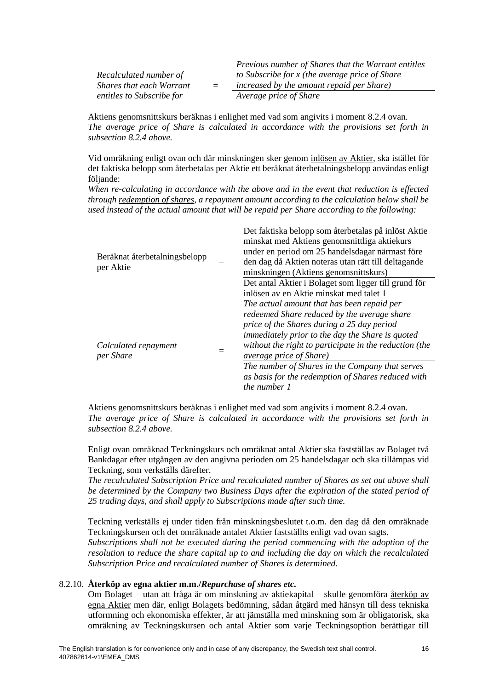|                                 |     | Previous number of Shares that the Warrant entitles |
|---------------------------------|-----|-----------------------------------------------------|
| Recalculated number of          |     | to Subscribe for x (the average price of Share      |
| <i>Shares that each Warrant</i> | $=$ | increased by the amount repaid per Share)           |
| entitles to Subscribe for       |     | Average price of Share                              |

Aktiens genomsnittskurs beräknas i enlighet med vad som angivits i moment [8.2.4](#page-5-0) ovan. *The average price of Share is calculated in accordance with the provisions set forth in subsection [8.2.4](#page-5-0) above.*

Vid omräkning enligt ovan och där minskningen sker genom inlösen av Aktier, ska istället för det faktiska belopp som återbetalas per Aktie ett beräknat återbetalningsbelopp användas enligt följande:

*When re-calculating in accordance with the above and in the event that reduction is effected through redemption of shares, a repayment amount according to the calculation below shall be used instead of the actual amount that will be repaid per Share according to the following:*

| Beräknat återbetalningsbelopp<br>per Aktie | Det faktiska belopp som återbetalas på inlöst Aktie<br>minskat med Aktiens genomsnittliga aktiekurs<br>under en period om 25 handelsdagar närmast före<br>den dag då Aktien noteras utan rätt till deltagande<br>minskningen (Aktiens genomsnittskurs) |
|--------------------------------------------|--------------------------------------------------------------------------------------------------------------------------------------------------------------------------------------------------------------------------------------------------------|
|                                            | Det antal Aktier i Bolaget som ligger till grund för<br>inlösen av en Aktie minskat med talet 1<br>The actual amount that has been repaid per                                                                                                          |
| Calculated repayment<br>per Share          | redeemed Share reduced by the average share<br>price of the Shares during a 25 day period<br>immediately prior to the day the Share is quoted<br>without the right to participate in the reduction (the<br><i>average price of Share</i> )             |
|                                            | The number of Shares in the Company that serves<br>as basis for the redemption of Shares reduced with<br>the number 1                                                                                                                                  |

Aktiens genomsnittskurs beräknas i enlighet med vad som angivits i moment [8.2.4](#page-5-0) ovan. *The average price of Share is calculated in accordance with the provisions set forth in subsection [8.2.4](#page-5-0) above.*

Enligt ovan omräknad Teckningskurs och omräknat antal Aktier ska fastställas av Bolaget två Bankdagar efter utgången av den angivna perioden om 25 handelsdagar och ska tillämpas vid Teckning, som verkställs därefter.

*The recalculated Subscription Price and recalculated number of Shares as set out above shall be determined by the Company two Business Days after the expiration of the stated period of 25 trading days, and shall apply to Subscriptions made after such time.*

Teckning verkställs ej under tiden från minskningsbeslutet t.o.m. den dag då den omräknade Teckningskursen och det omräknade antalet Aktier fastställts enligt vad ovan sagts.

*Subscriptions shall not be executed during the period commencing with the adoption of the resolution to reduce the share capital up to and including the day on which the recalculated Subscription Price and recalculated number of Shares is determined.*

#### 8.2.10. **Återköp av egna aktier m.m./***Repurchase of shares etc.*

Om Bolaget – utan att fråga är om minskning av aktiekapital – skulle genomföra återköp av egna Aktier men där, enligt Bolagets bedömning, sådan åtgärd med hänsyn till dess tekniska utformning och ekonomiska effekter, är att jämställa med minskning som är obligatorisk, ska omräkning av Teckningskursen och antal Aktier som varje Teckningsoption berättigar till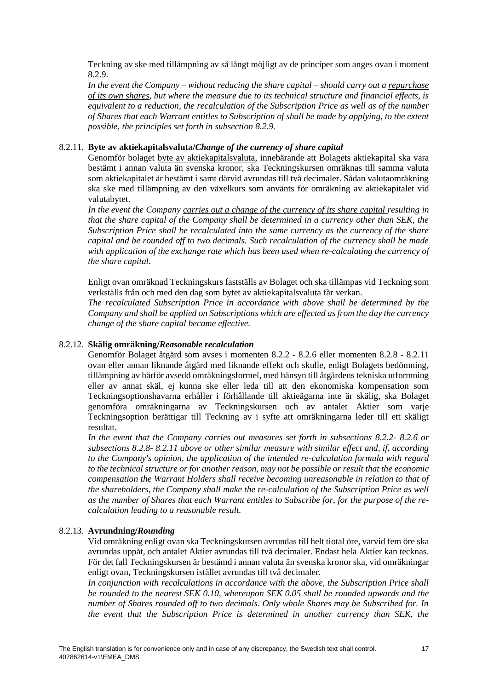Teckning av ske med tillämpning av så långt möjligt av de principer som anges ovan i moment [8.2.9.](#page-14-0)

*In the event the Company – without reducing the share capital – should carry out a repurchase of its own shares, but where the measure due to its technical structure and financial effects, is equivalent to a reduction, the recalculation of the Subscription Price as well as of the number of Shares that each Warrant entitles to Subscription of shall be made by applying, to the extent possible, the principles set forth in subsection [8.2.9.](#page-14-0)*

# <span id="page-16-0"></span>8.2.11. **Byte av aktiekapitalsvaluta/***Change of the currency of share capital*

Genomför bolaget byte av aktiekapitalsvaluta, innebärande att Bolagets aktiekapital ska vara bestämt i annan valuta än svenska kronor, ska Teckningskursen omräknas till samma valuta som aktiekapitalet är bestämt i samt därvid avrundas till två decimaler. Sådan valutaomräkning ska ske med tillämpning av den växelkurs som använts för omräkning av aktiekapitalet vid valutabytet.

In the event the Company carries out a change of the currency of its share capital resulting in *that the share capital of the Company shall be determined in a currency other than SEK, the Subscription Price shall be recalculated into the same currency as the currency of the share capital and be rounded off to two decimals. Such recalculation of the currency shall be made with application of the exchange rate which has been used when re-calculating the currency of the share capital.*

Enligt ovan omräknad Teckningskurs fastställs av Bolaget och ska tillämpas vid Teckning som verkställs från och med den dag som bytet av aktiekapitalsvaluta får verkan.

*The recalculated Subscription Price in accordance with above shall be determined by the Company and shall be applied on Subscriptions which are effected as from the day the currency change of the share capital became effective.*

#### <span id="page-16-1"></span>8.2.12. **Skälig omräkning/***Reasonable recalculation*

Genomför Bolaget åtgärd som avses i momenten [8.2.2](#page-4-1) - [8.2.6](#page-9-0) eller momenten [8.2.8](#page-12-0) - [8.2.11](#page-16-0) ovan eller annan liknande åtgärd med liknande effekt och skulle, enligt Bolagets bedömning, tillämpning av härför avsedd omräkningsformel, med hänsyn till åtgärdens tekniska utformning eller av annat skäl, ej kunna ske eller leda till att den ekonomiska kompensation som Teckningsoptionshavarna erhåller i förhållande till aktieägarna inte är skälig, ska Bolaget genomföra omräkningarna av Teckningskursen och av antalet Aktier som varje Teckningsoption berättigar till Teckning av i syfte att omräkningarna leder till ett skäligt resultat.

*In the event that the Company carries out measures set forth in subsections [8.2.2-](#page-4-1) [8.2.6](#page-9-0) or subsections [8.2.8-](#page-12-0) [8.2.11](#page-16-0) above or other similar measure with similar effect and, if, according to the Company's opinion, the application of the intended re-calculation formula with regard to the technical structure or for another reason, may not be possible or result that the economic compensation the Warrant Holders shall receive becoming unreasonable in relation to that of the shareholders, the Company shall make the re-calculation of the Subscription Price as well as the number of Shares that each Warrant entitles to Subscribe for, for the purpose of the recalculation leading to a reasonable result.*

## 8.2.13. **Avrundning/***Rounding*

Vid omräkning enligt ovan ska Teckningskursen avrundas till helt tiotal öre, varvid fem öre ska avrundas uppåt, och antalet Aktier avrundas till två decimaler. Endast hela Aktier kan tecknas. För det fall Teckningskursen är bestämd i annan valuta än svenska kronor ska, vid omräkningar enligt ovan, Teckningskursen istället avrundas till två decimaler.

*In conjunction with recalculations in accordance with the above, the Subscription Price shall be rounded to the nearest SEK 0.10, whereupon SEK 0.05 shall be rounded upwards and the number of Shares rounded off to two decimals. Only whole Shares may be Subscribed for. In the event that the Subscription Price is determined in another currency than SEK, the*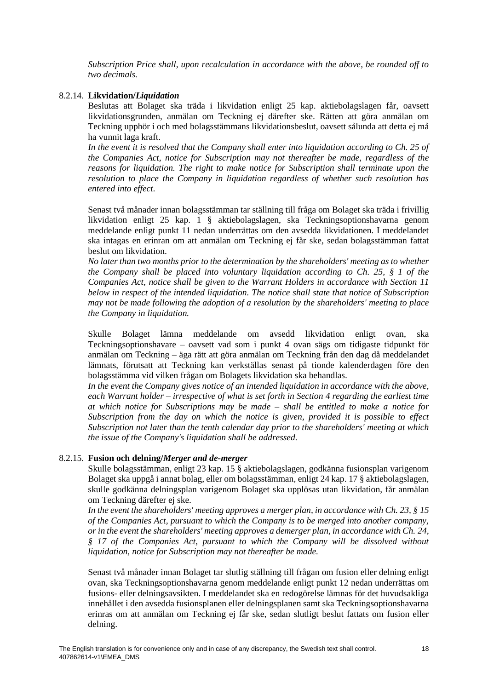*Subscription Price shall, upon recalculation in accordance with the above, be rounded off to two decimals.*

#### <span id="page-17-0"></span>8.2.14. **Likvidation/***Liquidation*

Beslutas att Bolaget ska träda i likvidation enligt 25 kap. aktiebolagslagen får, oavsett likvidationsgrunden, anmälan om Teckning ej därefter ske. Rätten att göra anmälan om Teckning upphör i och med bolagsstämmans likvidationsbeslut, oavsett sålunda att detta ej må ha vunnit laga kraft.

*In the event it is resolved that the Company shall enter into liquidation according to Ch. 25 of the Companies Act, notice for Subscription may not thereafter be made, regardless of the reasons for liquidation. The right to make notice for Subscription shall terminate upon the resolution to place the Company in liquidation regardless of whether such resolution has entered into effect.*

Senast två månader innan bolagsstämman tar ställning till fråga om Bolaget ska träda i frivillig likvidation enligt 25 kap. 1 § aktiebolagslagen, ska Teckningsoptionshavarna genom meddelande enligt punkt [11](#page-20-0) nedan underrättas om den avsedda likvidationen. I meddelandet ska intagas en erinran om att anmälan om Teckning ej får ske, sedan bolagsstämman fattat beslut om likvidation.

*No later than two months prior to the determination by the shareholders' meeting as to whether the Company shall be placed into voluntary liquidation according to Ch. 25, § 1 of the Companies Act, notice shall be given to the Warrant Holders in accordance with Section [11](#page-20-0) below in respect of the intended liquidation. The notice shall state that notice of Subscription may not be made following the adoption of a resolution by the shareholders' meeting to place the Company in liquidation.*

Skulle Bolaget lämna meddelande om avsedd likvidation enligt ovan, ska Teckningsoptionshavare – oavsett vad som i punkt [4](#page-2-1) ovan sägs om tidigaste tidpunkt för anmälan om Teckning – äga rätt att göra anmälan om Teckning från den dag då meddelandet lämnats, förutsatt att Teckning kan verkställas senast på tionde kalenderdagen före den bolagsstämma vid vilken frågan om Bolagets likvidation ska behandlas.

*In the event the Company gives notice of an intended liquidation in accordance with the above, each Warrant holder – irrespective of what is set forth in Section [4](#page-2-1) regarding the earliest time at which notice for Subscriptions may be made – shall be entitled to make a notice for Subscription from the day on which the notice is given, provided it is possible to effect Subscription not later than the tenth calendar day prior to the shareholders' meeting at which the issue of the Company's liquidation shall be addressed.*

#### <span id="page-17-1"></span>8.2.15. **Fusion och delning/***Merger and de-merger*

Skulle bolagsstämman, enligt 23 kap. 15 § aktiebolagslagen, godkänna fusionsplan varigenom Bolaget ska uppgå i annat bolag, eller om bolagsstämman, enligt 24 kap. 17 § aktiebolagslagen, skulle godkänna delningsplan varigenom Bolaget ska upplösas utan likvidation, får anmälan om Teckning därefter ej ske.

*In the event the shareholders' meeting approves a merger plan, in accordance with Ch. 23, § 15 of the Companies Act, pursuant to which the Company is to be merged into another company, or in the event the shareholders' meeting approves a demerger plan, in accordance with Ch. 24, § 17 of the Companies Act, pursuant to which the Company will be dissolved without liquidation, notice for Subscription may not thereafter be made.*

Senast två månader innan Bolaget tar slutlig ställning till frågan om fusion eller delning enligt ovan, ska Teckningsoptionshavarna genom meddelande enligt punkt [12](#page-20-1) nedan underrättas om fusions- eller delningsavsikten. I meddelandet ska en redogörelse lämnas för det huvudsakliga innehållet i den avsedda fusionsplanen eller delningsplanen samt ska Teckningsoptionshavarna erinras om att anmälan om Teckning ej får ske, sedan slutligt beslut fattats om fusion eller delning.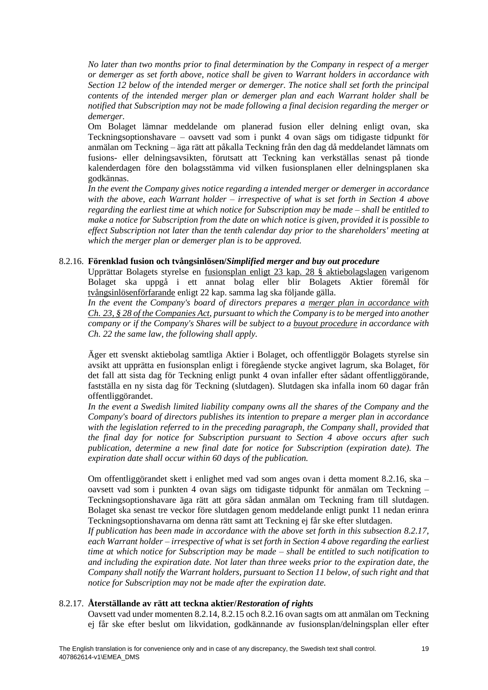*No later than two months prior to final determination by the Company in respect of a merger or demerger as set forth above, notice shall be given to Warrant holders in accordance with Section [12](#page-20-1) below of the intended merger or demerger. The notice shall set forth the principal contents of the intended merger plan or demerger plan and each Warrant holder shall be notified that Subscription may not be made following a final decision regarding the merger or demerger.*

Om Bolaget lämnar meddelande om planerad fusion eller delning enligt ovan, ska Teckningsoptionshavare – oavsett vad som i punkt [4](#page-2-1) ovan sägs om tidigaste tidpunkt för anmälan om Teckning – äga rätt att påkalla Teckning från den dag då meddelandet lämnats om fusions- eller delningsavsikten, förutsatt att Teckning kan verkställas senast på tionde kalenderdagen före den bolagsstämma vid vilken fusionsplanen eller delningsplanen ska godkännas.

*In the event the Company gives notice regarding a intended merger or demerger in accordance with the above, each Warrant holder – irrespective of what is set forth in Section [4](#page-2-1) above regarding the earliest time at which notice for Subscription may be made – shall be entitled to make a notice for Subscription from the date on which notice is given, provided it is possible to effect Subscription not later than the tenth calendar day prior to the shareholders' meeting at which the merger plan or demerger plan is to be approved.*

#### <span id="page-18-0"></span>8.2.16. **Förenklad fusion och tvångsinlösen/***Simplified merger and buy out procedure*

Upprättar Bolagets styrelse en fusionsplan enligt 23 kap. 28 § aktiebolagslagen varigenom Bolaget ska uppgå i ett annat bolag eller blir Bolagets Aktier föremål för tvångsinlösenförfarande enligt 22 kap. samma lag ska följande gälla.

*In the event the Company's board of directors prepares a merger plan in accordance with Ch. 23, § 28 of the Companies Act, pursuant to which the Company is to be merged into another company or if the Company's Shares will be subject to a buyout procedure in accordance with Ch. 22 the same law, the following shall apply.* 

Äger ett svenskt aktiebolag samtliga Aktier i Bolaget, och offentliggör Bolagets styrelse sin avsikt att upprätta en fusionsplan enligt i föregående stycke angivet lagrum, ska Bolaget, för det fall att sista dag för Teckning enligt punkt [4](#page-2-1) ovan infaller efter sådant offentliggörande, fastställa en ny sista dag för Teckning (slutdagen). Slutdagen ska infalla inom 60 dagar från offentliggörandet.

*In the event a Swedish limited liability company owns all the shares of the Company and the Company's board of directors publishes its intention to prepare a merger plan in accordance with the legislation referred to in the preceding paragraph, the Company shall, provided that the final day for notice for Subscription pursuant to Section [4](#page-2-1) above occurs after such publication, determine a new final date for notice for Subscription (expiration date). The expiration date shall occur within 60 days of the publication.*

Om offentliggörandet skett i enlighet med vad som anges ovan i detta moment [8.2.16,](#page-18-0) ska – oavsett vad som i punkten [4](#page-2-1) ovan sägs om tidigaste tidpunkt för anmälan om Teckning – Teckningsoptionshavare äga rätt att göra sådan anmälan om Teckning fram till slutdagen. Bolaget ska senast tre veckor före slutdagen genom meddelande enligt punkt [11](#page-20-0) nedan erinra Teckningsoptionshavarna om denna rätt samt att Teckning ej får ske efter slutdagen.

*If publication has been made in accordance with the above set forth in this subsection [8.2.17,](#page-18-1) each Warrant holder – irrespective of what is set forth in Sectio[n 4](#page-2-1) above regarding the earliest time at which notice for Subscription may be made – shall be entitled to such notification to and including the expiration date. Not later than three weeks prior to the expiration date, the Company shall notify the Warrant holders, pursuant to Section [11](#page-20-0) below, of such right and that notice for Subscription may not be made after the expiration date.*

## <span id="page-18-1"></span>8.2.17. **Återställande av rätt att teckna aktier/***Restoration of rights*

Oavsett vad under momente[n 8.2.14,](#page-17-0) [8.2.15](#page-17-1) oc[h 8.2.16](#page-18-0) ovan sagts om att anmälan om Teckning ej får ske efter beslut om likvidation, godkännande av fusionsplan/delningsplan eller efter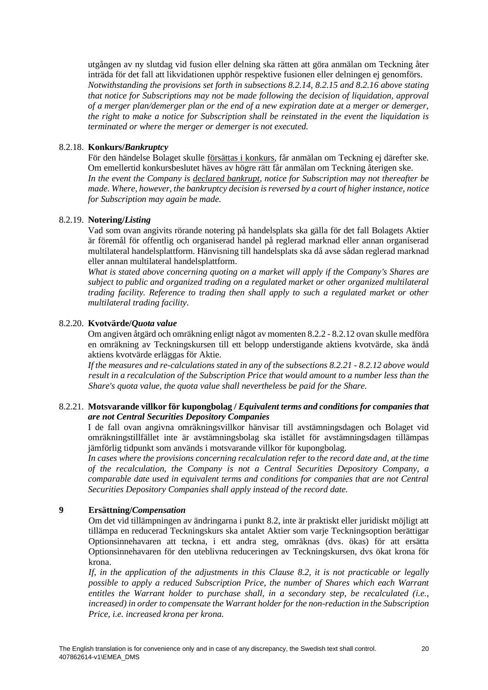utgången av ny slutdag vid fusion eller delning ska rätten att göra anmälan om Teckning åter inträda för det fall att likvidationen upphör respektive fusionen eller delningen ej genomförs. *Notwithstanding the provisions set forth in subsections [8.2.14,](#page-17-0) [8.2.15](#page-17-1) and [8.2.16](#page-18-0) above stating that notice for Subscriptions may not be made following the decision of liquidation, approval of a merger plan/demerger plan or the end of a new expiration date at a merger or demerger, the right to make a notice for Subscription shall be reinstated in the event the liquidation is terminated or where the merger or demerger is not executed.*

# 8.2.18. **Konkurs/***Bankruptcy*

För den händelse Bolaget skulle försättas i konkurs, får anmälan om Teckning ej därefter ske. Om emellertid konkursbeslutet häves av högre rätt får anmälan om Teckning återigen ske. *In the event the Company is declared bankrupt, notice for Subscription may not thereafter be made. Where, however, the bankruptcy decision is reversed by a court of higher instance, notice for Subscription may again be made.*

#### 8.2.19. **Notering/***Listing*

Vad som ovan angivits rörande notering på handelsplats ska gälla för det fall Bolagets Aktier är föremål för offentlig och organiserad handel på reglerad marknad eller annan organiserad multilateral handelsplattform. Hänvisning till handelsplats ska då avse sådan reglerad marknad eller annan multilateral handelsplattform.

*What is stated above concerning quoting on a market will apply if the Company's Shares are subject to public and organized trading on a regulated market or other organized multilateral trading facility. Reference to trading then shall apply to such a regulated market or other multilateral trading facility*.

#### <span id="page-19-0"></span>8.2.20. **Kvotvärde/***Quota value*

Om angiven åtgärd och omräkning enligt något av momente[n 8.2.2](#page-4-1) - [8.2.12](#page-16-1) ovan skulle medföra en omräkning av Teckningskursen till ett belopp understigande aktiens kvotvärde, ska ändå aktiens kvotvärde erläggas för Aktie.

*If the measures and re-calculations stated in any of the subsections [8.2.21](#page-4-1) - [8.2.12](#page-16-1) above would result in a recalculation of the Subscription Price that would amount to a number less than the Share's quota value, the quota value shall nevertheless be paid for the Share.*

#### 8.2.21. **Motsvarande villkor för kupongbolag /** *Equivalent terms and conditions for companies that are not Central Securities Depository Companies*

I de fall ovan angivna omräkningsvillkor hänvisar till avstämningsdagen och Bolaget vid omräkningstillfället inte är avstämningsbolag ska istället för avstämningsdagen tillämpas jämförlig tidpunkt som används i motsvarande villkor för kupongbolag.

*In cases where the provisions concerning recalculation refer to the record date and, at the time of the recalculation, the Company is not a Central Securities Depository Company, a comparable date used in equivalent terms and conditions for companies that are not Central Securities Depository Companies shall apply instead of the record date.*

# **9 Ersättning/***Compensation*

Om det vid tillämpningen av ändringarna i punkt [8.2,](#page-4-0) inte är praktiskt eller juridiskt möjligt att tillämpa en reducerad Teckningskurs ska antalet Aktier som varje Teckningsoption berättigar Optionsinnehavaren att teckna, i ett andra steg, omräknas (dvs. ökas) för att ersätta Optionsinnehavaren för den uteblivna reduceringen av Teckningskursen, dvs ökat krona för krona.

*If, in the application of the adjustments in this Clause [8.2,](#page-4-0) it is not practicable or legally possible to apply a reduced Subscription Price, the number of Shares which each Warrant entitles the Warrant holder to purchase shall, in a secondary step, be recalculated (i.e., increased) in order to compensate the Warrant holder for the non-reduction in the Subscription Price, i.e. increased krona per krona.*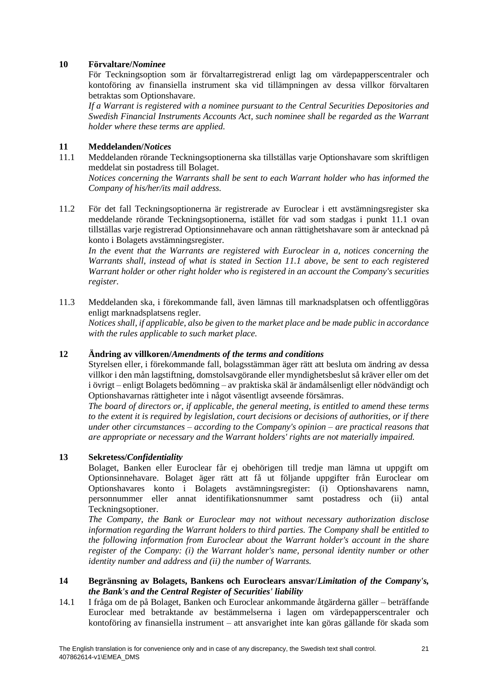# **10 Förvaltare/***Nominee*

För Teckningsoption som är förvaltarregistrerad enligt lag om värdepapperscentraler och kontoföring av finansiella instrument ska vid tillämpningen av dessa villkor förvaltaren betraktas som Optionshavare.

*If a Warrant is registered with a nominee pursuant to the Central Securities Depositories and Swedish Financial Instruments Accounts Act, such nominee shall be regarded as the Warrant holder where these terms are applied.*

# <span id="page-20-0"></span>**11 Meddelanden/***Notices*

11.1 Meddelanden rörande Teckningsoptionerna ska tillställas varje Optionshavare som skriftligen meddelat sin postadress till Bolaget. *Notices concerning the Warrants shall be sent to each Warrant holder who has informed the* 

*Company of his/her/its mail address.*

11.2 För det fall Teckningsoptionerna är registrerade av Euroclear i ett avstämningsregister ska meddelande rörande Teckningsoptionerna, istället för vad som stadgas i punkt 11.1 ovan tillställas varje registrerad Optionsinnehavare och annan rättighetshavare som är antecknad på konto i Bolagets avstämningsregister.

*In the event that the Warrants are registered with Euroclear in a, notices concerning the Warrants shall, instead of what is stated in Section 11.1 above, be sent to each registered Warrant holder or other right holder who is registered in an account the Company's securities register.*

11.3 Meddelanden ska, i förekommande fall, även lämnas till marknadsplatsen och offentliggöras enligt marknadsplatsens regler.

*Notices shall, if applicable, also be given to the market place and be made public in accordance with the rules applicable to such market place.*

# <span id="page-20-1"></span>**12 Ändring av villkoren/***Amendments of the terms and conditions*

Styrelsen eller, i förekommande fall, bolagsstämman äger rätt att besluta om ändring av dessa villkor i den mån lagstiftning, domstolsavgörande eller myndighetsbeslut så kräver eller om det i övrigt – enligt Bolagets bedömning – av praktiska skäl är ändamålsenligt eller nödvändigt och Optionshavarnas rättigheter inte i något väsentligt avseende försämras.

*The board of directors or, if applicable, the general meeting, is entitled to amend these terms to the extent it is required by legislation, court decisions or decisions of authorities, or if there under other circumstances – according to the Company's opinion – are practical reasons that are appropriate or necessary and the Warrant holders' rights are not materially impaired.*

# **13 Sekretess/***Confidentiality*

Bolaget, Banken eller Euroclear får ej obehörigen till tredje man lämna ut uppgift om Optionsinnehavare. Bolaget äger rätt att få ut följande uppgifter från Euroclear om Optionshavares konto i Bolagets avstämningsregister: (i) Optionshavarens namn, personnummer eller annat identifikationsnummer samt postadress och (ii) antal Teckningsoptioner.

*The Company, the Bank or Euroclear may not without necessary authorization disclose information regarding the Warrant holders to third parties. The Company shall be entitled to the following information from Euroclear about the Warrant holder's account in the share register of the Company: (i) the Warrant holder's name, personal identity number or other identity number and address and (ii) the number of Warrants.*

## **14 Begränsning av Bolagets, Bankens och Euroclears ansvar/***Limitation of the Company's, the Bank's and the Central Register of Securities' liability*

14.1 I fråga om de på Bolaget, Banken och Euroclear ankommande åtgärderna gäller – beträffande Euroclear med betraktande av bestämmelserna i lagen om värdepapperscentraler och kontoföring av finansiella instrument – att ansvarighet inte kan göras gällande för skada som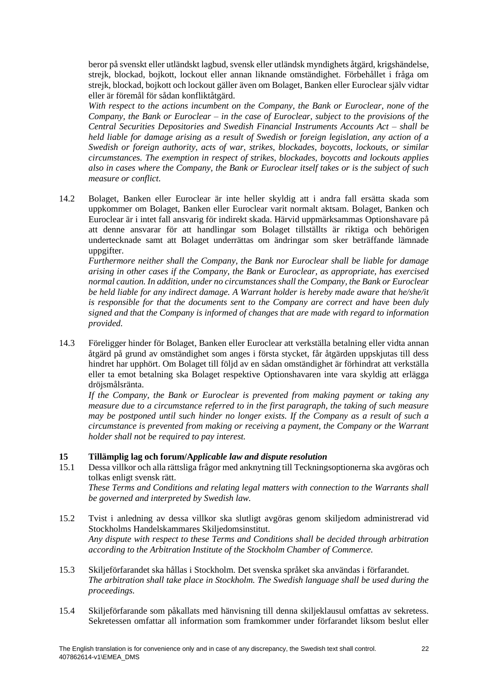beror på svenskt eller utländskt lagbud, svensk eller utländsk myndighets åtgärd, krigshändelse, strejk, blockad, bojkott, lockout eller annan liknande omständighet. Förbehållet i fråga om strejk, blockad, bojkott och lockout gäller även om Bolaget, Banken eller Euroclear själv vidtar eller är föremål för sådan konfliktåtgärd.

*With respect to the actions incumbent on the Company, the Bank or Euroclear, none of the Company, the Bank or Euroclear – in the case of Euroclear, subject to the provisions of the Central Securities Depositories and Swedish Financial Instruments Accounts Act – shall be held liable for damage arising as a result of Swedish or foreign legislation, any action of a Swedish or foreign authority, acts of war, strikes, blockades, boycotts, lockouts, or similar circumstances. The exemption in respect of strikes, blockades, boycotts and lockouts applies also in cases where the Company, the Bank or Euroclear itself takes or is the subject of such measure or conflict.*

14.2 Bolaget, Banken eller Euroclear är inte heller skyldig att i andra fall ersätta skada som uppkommer om Bolaget, Banken eller Euroclear varit normalt aktsam. Bolaget, Banken och Euroclear är i intet fall ansvarig för indirekt skada. Härvid uppmärksammas Optionshavare på att denne ansvarar för att handlingar som Bolaget tillställts är riktiga och behörigen undertecknade samt att Bolaget underrättas om ändringar som sker beträffande lämnade uppgifter.

*Furthermore neither shall the Company, the Bank nor Euroclear shall be liable for damage arising in other cases if the Company, the Bank or Euroclear, as appropriate, has exercised normal caution. In addition, under no circumstances shall the Company, the Bank or Euroclear be held liable for any indirect damage. A Warrant holder is hereby made aware that he/she/it is responsible for that the documents sent to the Company are correct and have been duly signed and that the Company is informed of changes that are made with regard to information provided.*

14.3 Föreligger hinder för Bolaget, Banken eller Euroclear att verkställa betalning eller vidta annan åtgärd på grund av omständighet som anges i första stycket, får åtgärden uppskjutas till dess hindret har upphört. Om Bolaget till följd av en sådan omständighet är förhindrat att verkställa eller ta emot betalning ska Bolaget respektive Optionshavaren inte vara skyldig att erlägga dröjsmålsränta.

*If the Company, the Bank or Euroclear is prevented from making payment or taking any measure due to a circumstance referred to in the first paragraph, the taking of such measure may be postponed until such hinder no longer exists. If the Company as a result of such a circumstance is prevented from making or receiving a payment, the Company or the Warrant holder shall not be required to pay interest.*

## **15 Tillämplig lag och forum/A***pplicable law and dispute resolution*

15.1 Dessa villkor och alla rättsliga frågor med anknytning till Teckningsoptionerna ska avgöras och tolkas enligt svensk rätt.

*These Terms and Conditions and relating legal matters with connection to the Warrants shall be governed and interpreted by Swedish law.*

- 15.2 Tvist i anledning av dessa villkor ska slutligt avgöras genom skiljedom administrerad vid Stockholms Handelskammares Skiljedomsinstitut. *Any dispute with respect to these Terms and Conditions shall be decided through arbitration according to the Arbitration Institute of the Stockholm Chamber of Commerce.*
- 15.3 Skiljeförfarandet ska hållas i Stockholm. Det svenska språket ska användas i förfarandet. *The arbitration shall take place in Stockholm. The Swedish language shall be used during the proceedings.*
- 15.4 Skiljeförfarande som påkallats med hänvisning till denna skiljeklausul omfattas av sekretess. Sekretessen omfattar all information som framkommer under förfarandet liksom beslut eller